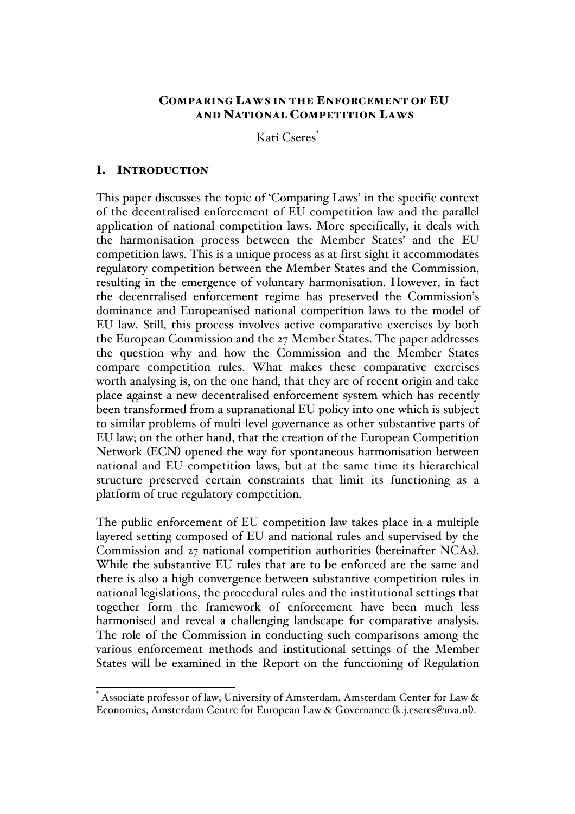# COMPARING LAWS IN THE ENFORCEMENT OF EU AND NATIONAL COMPETITION LAWS

Kati Cseres<sup>\*</sup>

# I. INTRODUCTION

This paper discusses the topic of 'Comparing Laws' in the specific context of the decentralised enforcement of EU competition law and the parallel application of national competition laws. More specifically, it deals with the harmonisation process between the Member States' and the EU competition laws. This is a unique process as at first sight it accommodates regulatory competition between the Member States and the Commission, resulting in the emergence of voluntary harmonisation. However, in fact the decentralised enforcement regime has preserved the Commission's dominance and Europeanised national competition laws to the model of EU law. Still, this process involves active comparative exercises by both the European Commission and the 27 Member States. The paper addresses the question why and how the Commission and the Member States compare competition rules. What makes these comparative exercises worth analysing is, on the one hand, that they are of recent origin and take place against a new decentralised enforcement system which has recently been transformed from a supranational EU policy into one which is subject to similar problems of multi-level governance as other substantive parts of EU law; on the other hand, that the creation of the European Competition Network (ECN) opened the way for spontaneous harmonisation between national and EU competition laws, but at the same time its hierarchical structure preserved certain constraints that limit its functioning as a platform of true regulatory competition.

The public enforcement of EU competition law takes place in a multiple layered setting composed of EU and national rules and supervised by the Commission and 27 national competition authorities (hereinafter NCAs). While the substantive EU rules that are to be enforced are the same and there is also a high convergence between substantive competition rules in national legislations, the procedural rules and the institutional settings that together form the framework of enforcement have been much less harmonised and reveal a challenging landscape for comparative analysis. The role of the Commission in conducting such comparisons among the various enforcement methods and institutional settings of the Member States will be examined in the Report on the functioning of Regulation

Associate professor of law, University of Amsterdam, Amsterdam Center for Law & Economics, Amsterdam Centre for European Law & Governance (k.j.cseres@uva.nl).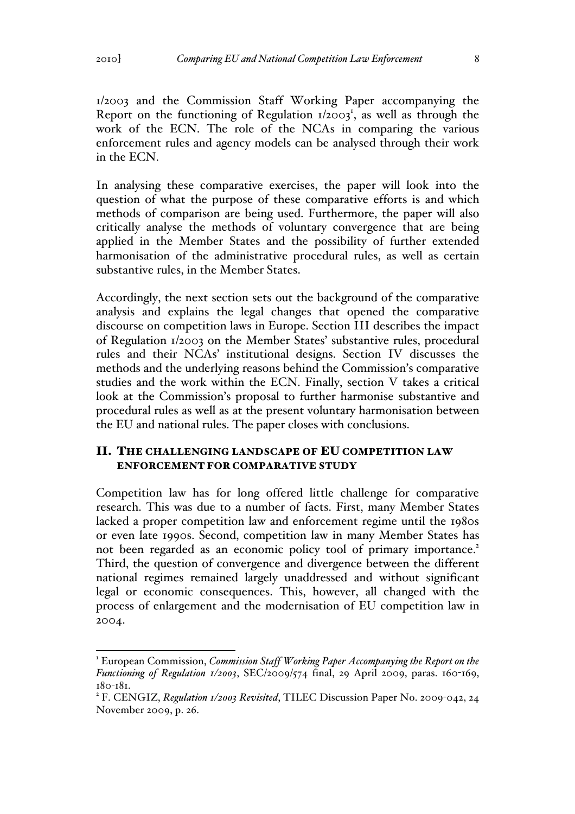1/2003 and the Commission Staff Working Paper accompanying the Report on the functioning of Regulation  $1/2003^1$ , as well as through the work of the ECN. The role of the NCAs in comparing the various enforcement rules and agency models can be analysed through their work in the ECN.

In analysing these comparative exercises, the paper will look into the question of what the purpose of these comparative efforts is and which methods of comparison are being used. Furthermore, the paper will also critically analyse the methods of voluntary convergence that are being applied in the Member States and the possibility of further extended harmonisation of the administrative procedural rules, as well as certain substantive rules, in the Member States.

Accordingly, the next section sets out the background of the comparative analysis and explains the legal changes that opened the comparative discourse on competition laws in Europe. Section III describes the impact of Regulation 1/2003 on the Member States' substantive rules, procedural rules and their NCAs' institutional designs. Section IV discusses the methods and the underlying reasons behind the Commission's comparative studies and the work within the ECN. Finally, section V takes a critical look at the Commission's proposal to further harmonise substantive and procedural rules as well as at the present voluntary harmonisation between the EU and national rules. The paper closes with conclusions.

# II. THE CHALLENGING LANDSCAPE OF EU COMPETITION LAW ENFORCEMENT FOR COMPARATIVE STUDY

Competition law has for long offered little challenge for comparative research. This was due to a number of facts. First, many Member States lacked a proper competition law and enforcement regime until the 1980s or even late 1990s. Second, competition law in many Member States has not been regarded as an economic policy tool of primary importance.<sup>2</sup> Third, the question of convergence and divergence between the different national regimes remained largely unaddressed and without significant legal or economic consequences. This, however, all changed with the process of enlargement and the modernisation of EU competition law in 2004.

<sup>&</sup>lt;sup>1</sup> European Commission, *Commission Staff Working Paper Accompanying the Report on the Functioning of Regulation 1/2003*, SEC/2009/574 final, 29 April 2009, paras. 160-169, <sup>180</sup>-181. <sup>2</sup> F. CENGIZ, *Regulation 1/2003 Revisited*, TILEC Discussion Paper No. 2009-042, 24

November 2009, p. 26.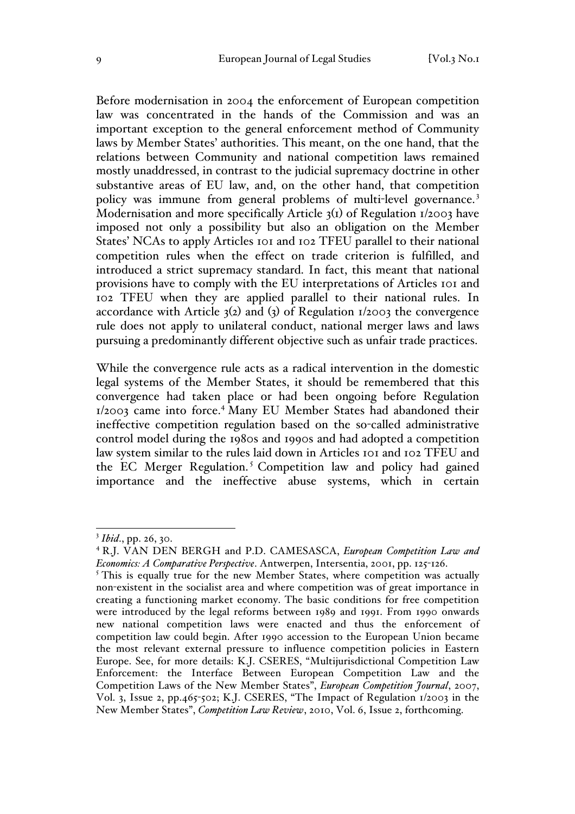Before modernisation in 2004 the enforcement of European competition law was concentrated in the hands of the Commission and was an important exception to the general enforcement method of Community laws by Member States' authorities. This meant, on the one hand, that the relations between Community and national competition laws remained mostly unaddressed, in contrast to the judicial supremacy doctrine in other substantive areas of EU law, and, on the other hand, that competition policy was immune from general problems of multi-level governance.<sup>3</sup> Modernisation and more specifically Article 3(1) of Regulation 1/2003 have imposed not only a possibility but also an obligation on the Member States' NCAs to apply Articles 101 and 102 TFEU parallel to their national competition rules when the effect on trade criterion is fulfilled, and introduced a strict supremacy standard. In fact, this meant that national provisions have to comply with the EU interpretations of Articles 101 and 102 TFEU when they are applied parallel to their national rules. In accordance with Article  $3(2)$  and  $(3)$  of Regulation  $1/2003$  the convergence rule does not apply to unilateral conduct, national merger laws and laws pursuing a predominantly different objective such as unfair trade practices.

While the convergence rule acts as a radical intervention in the domestic legal systems of the Member States, it should be remembered that this convergence had taken place or had been ongoing before Regulation 1/2003 came into force.<sup>4</sup> Many EU Member States had abandoned their ineffective competition regulation based on the so-called administrative control model during the 1980s and 1990s and had adopted a competition law system similar to the rules laid down in Articles 101 and 102 TFEU and the EC Merger Regulation.<sup>5</sup> Competition law and policy had gained importance and the ineffective abuse systems, which in certain

 <sup>3</sup> *Ibid*., pp. 26, 30.

<sup>4</sup> R.J. VAN DEN BERGH and P.D. CAMESASCA, *European Competition Law and Economics: A Comparative Perspective*. Antwerpen, Intersentia, 2001, pp. 125-126.

<sup>&</sup>lt;sup>5</sup> This is equally true for the new Member States, where competition was actually non-existent in the socialist area and where competition was of great importance in creating a functioning market economy. The basic conditions for free competition were introduced by the legal reforms between 1989 and 1991. From 1990 onwards new national competition laws were enacted and thus the enforcement of competition law could begin. After 1990 accession to the European Union became the most relevant external pressure to influence competition policies in Eastern Europe. See, for more details: K.J. CSERES, "Multijurisdictional Competition Law Enforcement: the Interface Between European Competition Law and the Competition Laws of the New Member States", *European Competition Journal*, 2007, Vol. 3, Issue 2, pp.465-502; K.J. CSERES, "The Impact of Regulation 1/2003 in the New Member States", *Competition Law Review*, 2010, Vol. 6, Issue 2, forthcoming.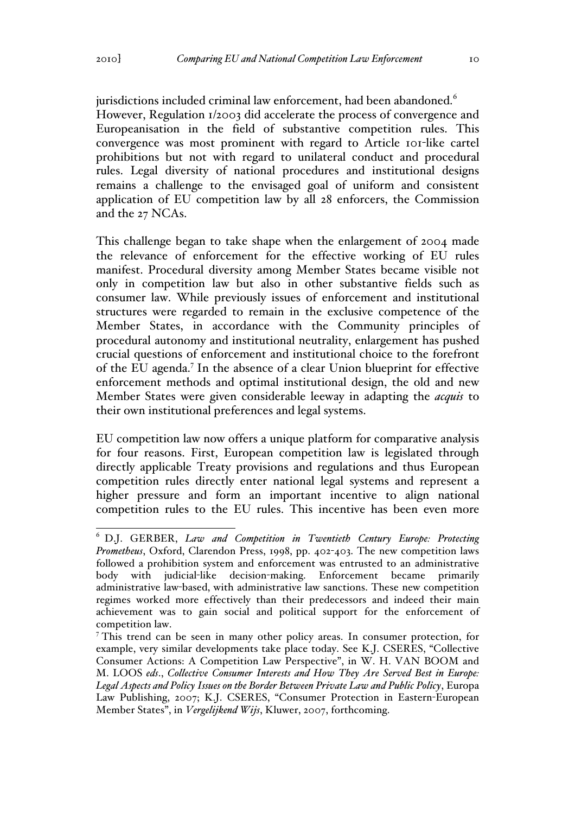jurisdictions included criminal law enforcement, had been abandoned.<sup>6</sup> However, Regulation 1/2003 did accelerate the process of convergence and Europeanisation in the field of substantive competition rules. This convergence was most prominent with regard to Article 101-like cartel prohibitions but not with regard to unilateral conduct and procedural rules. Legal diversity of national procedures and institutional designs remains a challenge to the envisaged goal of uniform and consistent application of EU competition law by all 28 enforcers, the Commission and the 27 NCAs.

This challenge began to take shape when the enlargement of 2004 made the relevance of enforcement for the effective working of EU rules manifest. Procedural diversity among Member States became visible not only in competition law but also in other substantive fields such as consumer law. While previously issues of enforcement and institutional structures were regarded to remain in the exclusive competence of the Member States, in accordance with the Community principles of procedural autonomy and institutional neutrality, enlargement has pushed crucial questions of enforcement and institutional choice to the forefront of the EU agenda.7 In the absence of a clear Union blueprint for effective enforcement methods and optimal institutional design, the old and new Member States were given considerable leeway in adapting the *acquis* to their own institutional preferences and legal systems.

EU competition law now offers a unique platform for comparative analysis for four reasons. First, European competition law is legislated through directly applicable Treaty provisions and regulations and thus European competition rules directly enter national legal systems and represent a higher pressure and form an important incentive to align national competition rules to the EU rules. This incentive has been even more

 <sup>6</sup> D.J. GERBER, *Law and Competition in Twentieth Century Europe: Protecting Prometheus*, Oxford, Clarendon Press, 1998, pp. 402-403. The new competition laws followed a prohibition system and enforcement was entrusted to an administrative body with judicial-like decision-making. Enforcement became primarily administrative law-based, with administrative law sanctions. These new competition regimes worked more effectively than their predecessors and indeed their main achievement was to gain social and political support for the enforcement of competition law.

<sup>7</sup> This trend can be seen in many other policy areas. In consumer protection, for example, very similar developments take place today. See K.J. CSERES, "Collective Consumer Actions: A Competition Law Perspective", in W. H. VAN BOOM and M. LOOS *eds*., *Collective Consumer Interests and How They Are Served Best in Europe: Legal Aspects and Policy Issues on the Border Between Private Law and Public Policy*, Europa Law Publishing, 2007; K.J. CSERES, "Consumer Protection in Eastern-European Member States", in *Vergelijkend Wijs*, Kluwer, 2007, forthcoming.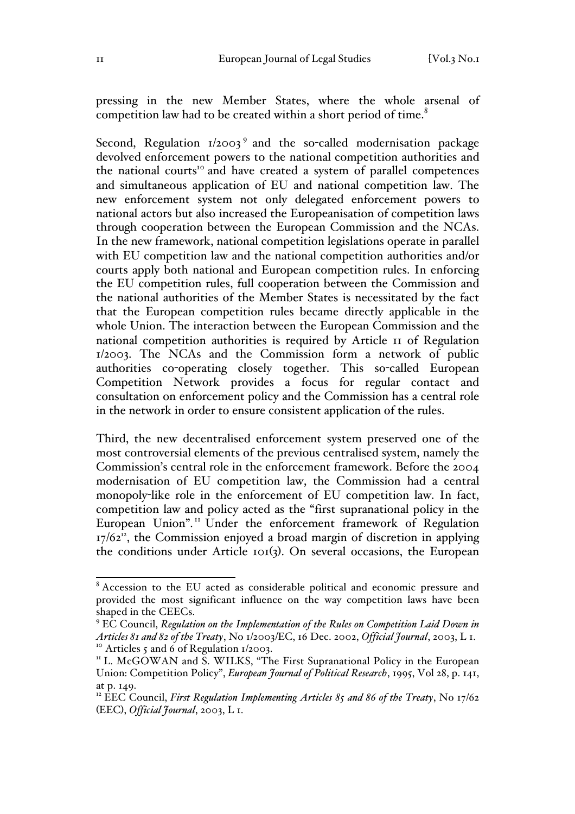pressing in the new Member States, where the whole arsenal of competition law had to be created within a short period of time.<sup>8</sup>

Second, Regulation  $1/2003^9$  and the so-called modernisation package devolved enforcement powers to the national competition authorities and the national courts<sup>10</sup> and have created a system of parallel competences and simultaneous application of EU and national competition law. The new enforcement system not only delegated enforcement powers to national actors but also increased the Europeanisation of competition laws through cooperation between the European Commission and the NCAs. In the new framework, national competition legislations operate in parallel with EU competition law and the national competition authorities and/or courts apply both national and European competition rules. In enforcing the EU competition rules, full cooperation between the Commission and the national authorities of the Member States is necessitated by the fact that the European competition rules became directly applicable in the whole Union. The interaction between the European Commission and the national competition authorities is required by Article 11 of Regulation 1/2003. The NCAs and the Commission form a network of public authorities co-operating closely together. This so-called European Competition Network provides a focus for regular contact and consultation on enforcement policy and the Commission has a central role in the network in order to ensure consistent application of the rules.

Third, the new decentralised enforcement system preserved one of the most controversial elements of the previous centralised system, namely the Commission's central role in the enforcement framework. Before the 2004 modernisation of EU competition law, the Commission had a central monopoly-like role in the enforcement of EU competition law. In fact, competition law and policy acted as the "first supranational policy in the European Union".<sup>11</sup> Under the enforcement framework of Regulation  $17/62$ <sup>12</sup>, the Commission enjoyed a broad margin of discretion in applying the conditions under Article 101(3). On several occasions, the European

 <sup>8</sup> Accession to the EU acted as considerable political and economic pressure and provided the most significant influence on the way competition laws have been shaped in the CEECs.

<sup>9</sup> EC Council, *Regulation on the Implementation of the Rules on Competition Laid Down in Articles 81 and 82 of the Treaty*, No 1/2003/EC, 16 Dec. 2002, *Official Journal*, 2003, L 1.<br><sup>10</sup> Articles 5 and 6 of Regulation 1/2003.<br><sup>11</sup> L. McGOWAN and S. WILKS, "The First Supranational Policy in the European

Union: Competition Policy", *European Journal of Political Research*, 1995, Vol 28, p. 141, at p. 149.

<sup>&</sup>lt;sup>12</sup> EEC Council, *First Regulation Implementing Articles 85 and 86 of the Treaty*, No 17/62 (EEC), *Official Journal*, 2003, L 1.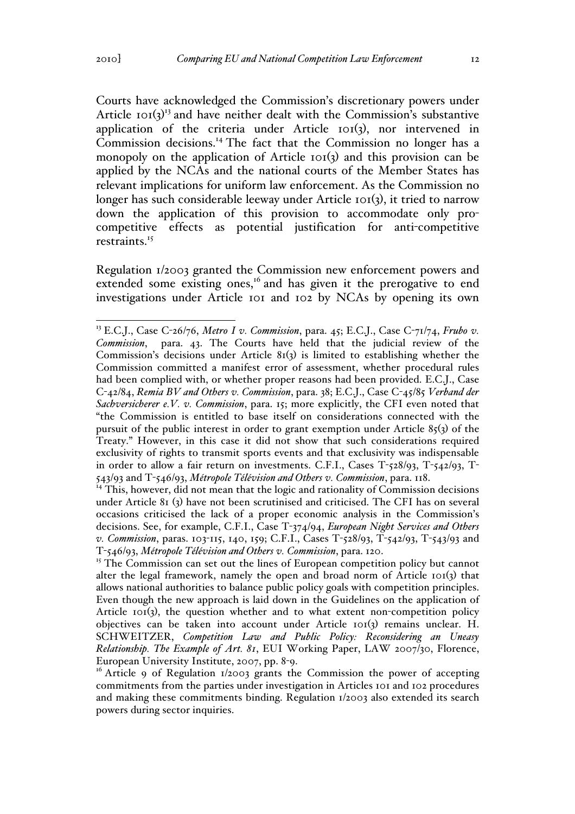Courts have acknowledged the Commission's discretionary powers under Article  $\text{tot}(3)^{13}$  and have neither dealt with the Commission's substantive application of the criteria under Article 101(3), nor intervened in Commission decisions.<sup>14</sup> The fact that the Commission no longer has a monopoly on the application of Article 101(3) and this provision can be applied by the NCAs and the national courts of the Member States has relevant implications for uniform law enforcement. As the Commission no longer has such considerable leeway under Article 101(3), it tried to narrow down the application of this provision to accommodate only procompetitive effects as potential justification for anti-competitive restraints.<sup>15</sup>

Regulation 1/2003 granted the Commission new enforcement powers and extended some existing ones,<sup>16</sup> and has given it the prerogative to end investigations under Article 101 and 102 by NCAs by opening its own

<sup>14</sup> This, however, did not mean that the logic and rationality of Commission decisions under Article 81 (3) have not been scrutinised and criticised. The CFI has on several occasions criticised the lack of a proper economic analysis in the Commission's decisions. See, for example, C.F.I., Case T-374/94, *European Night Services and Others v. Commission*, paras. 103-115, 140, 159; C.F.I., Cases T-528/93, T-542/93, T-543/93 and T-546/93, *Métropole Télévision and Others v. Commission*, para. 120.

<sup>15</sup> The Commission can set out the lines of European competition policy but cannot alter the legal framework, namely the open and broad norm of Article 101(3) that allows national authorities to balance public policy goals with competition principles. Even though the new approach is laid down in the Guidelines on the application of Article  $101(3)$ , the question whether and to what extent non-competition policy objectives can be taken into account under Article 101(3) remains unclear. H. SCHWEITZER, *Competition Law and Public Policy: Reconsidering an Uneasy Relationship. The Example of Art. 81*, EUI Working Paper, LAW 2007/30, Florence, European University Institute, 2007, pp. 8-9.

<sup>16</sup> Article 9 of Regulation  $1/2003$  grants the Commission the power of accepting commitments from the parties under investigation in Articles 101 and 102 procedures and making these commitments binding. Regulation 1/2003 also extended its search powers during sector inquiries.

<sup>&</sup>lt;sup>13</sup> E.C.J., Case C-26/76, Metro I v. Commission, para. 45; E.C.J., Case C-71/74, Frubo v. *Commission*, para. 43. The Courts have held that the judicial review of the Commission's decisions under Article  $8r(3)$  is limited to establishing whether the Commission committed a manifest error of assessment, whether procedural rules had been complied with, or whether proper reasons had been provided. E.C.J., Case C-42/84, *Remia BV and Others v. Commission*, para. 38; E.C.J., Case C-45/85 *Verband der Sachversicherer e.V. v. Commission*, para. 15; more explicitly, the CFI even noted that "the Commission is entitled to base itself on considerations connected with the pursuit of the public interest in order to grant exemption under Article  $85(3)$  of the Treaty." However, in this case it did not show that such considerations required exclusivity of rights to transmit sports events and that exclusivity was indispensable in order to allow a fair return on investments. C.F.I., Cases T-528/93, T-542/93, T-543/93 and T-546/93, *Métropole Télévision and Others v. Commission*, para. 118.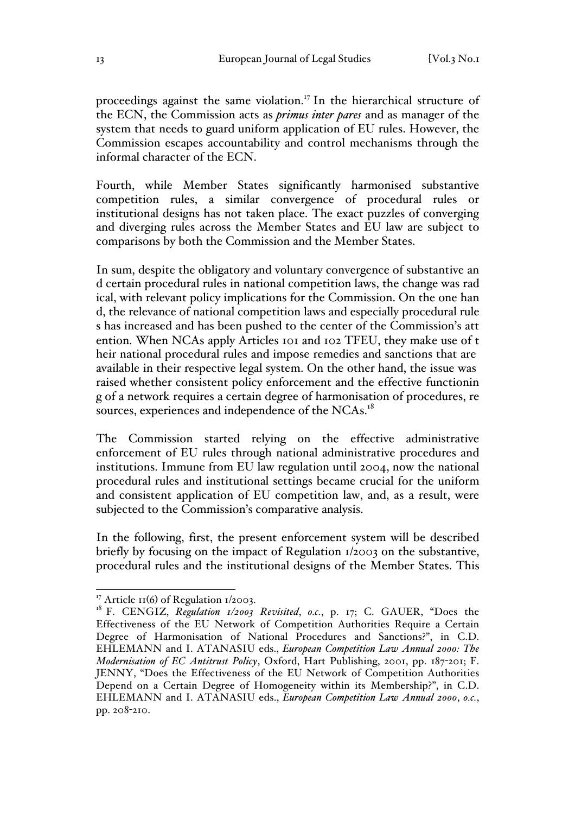proceedings against the same violation.<sup>17</sup> In the hierarchical structure of the ECN, the Commission acts as *primus inter pares* and as manager of the system that needs to guard uniform application of EU rules. However, the Commission escapes accountability and control mechanisms through the informal character of the ECN.

Fourth, while Member States significantly harmonised substantive competition rules, a similar convergence of procedural rules or institutional designs has not taken place. The exact puzzles of converging and diverging rules across the Member States and EU law are subject to comparisons by both the Commission and the Member States.

In sum, despite the obligatory and voluntary convergence of substantive an d certain procedural rules in national competition laws, the change was rad ical, with relevant policy implications for the Commission. On the one han d, the relevance of national competition laws and especially procedural rule s has increased and has been pushed to the center of the Commission's att ention. When NCAs apply Articles 101 and 102 TFEU, they make use of t heir national procedural rules and impose remedies and sanctions that are available in their respective legal system. On the other hand, the issue was raised whether consistent policy enforcement and the effective functionin g of a network requires a certain degree of harmonisation of procedures, re sources, experiences and independence of the NCAs.<sup>18</sup>

The Commission started relying on the effective administrative enforcement of EU rules through national administrative procedures and institutions. Immune from EU law regulation until 2004, now the national procedural rules and institutional settings became crucial for the uniform and consistent application of EU competition law, and, as a result, were subjected to the Commission's comparative analysis.

In the following, first, the present enforcement system will be described briefly by focusing on the impact of Regulation 1/2003 on the substantive, procedural rules and the institutional designs of the Member States. This

<sup>&</sup>lt;sup>17</sup> Article 11(6) of Regulation 1/2003.<br><sup>18</sup> F. CENGIZ, *Regulation 1/2003 Revisited*, *o.c.*, p. 17; C. GAUER, "Does the Effectiveness of the EU Network of Competition Authorities Require a Certain Degree of Harmonisation of National Procedures and Sanctions?", in C.D. EHLEMANN and I. ATANASIU eds., *European Competition Law Annual 2000: The Modernisation of EC Antitrust Policy*, Oxford, Hart Publishing, 2001, pp. 187-201; F. JENNY, "Does the Effectiveness of the EU Network of Competition Authorities Depend on a Certain Degree of Homogeneity within its Membership?", in C.D. EHLEMANN and I. ATANASIU eds., *European Competition Law Annual 2000*, *o.c.*, pp. 208-210.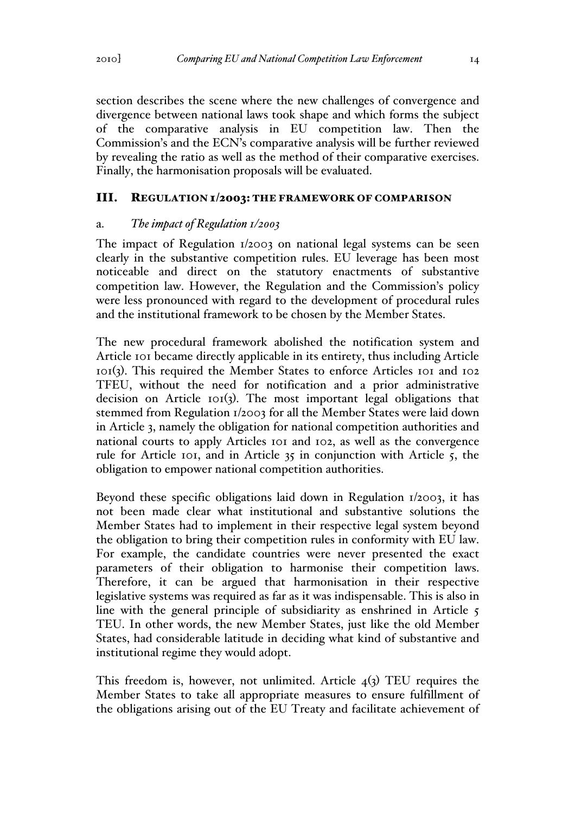section describes the scene where the new challenges of convergence and divergence between national laws took shape and which forms the subject of the comparative analysis in EU competition law. Then the Commission's and the ECN's comparative analysis will be further reviewed by revealing the ratio as well as the method of their comparative exercises. Finally, the harmonisation proposals will be evaluated.

### III. REGULATION 1/2003: THE FRAMEWORK OF COMPARISON

### a. *The impact of Regulation 1/2003*

The impact of Regulation 1/2003 on national legal systems can be seen clearly in the substantive competition rules. EU leverage has been most noticeable and direct on the statutory enactments of substantive competition law. However, the Regulation and the Commission's policy were less pronounced with regard to the development of procedural rules and the institutional framework to be chosen by the Member States.

The new procedural framework abolished the notification system and Article 101 became directly applicable in its entirety, thus including Article 101(3). This required the Member States to enforce Articles 101 and 102 TFEU, without the need for notification and a prior administrative decision on Article 101(3). The most important legal obligations that stemmed from Regulation 1/2003 for all the Member States were laid down in Article 3, namely the obligation for national competition authorities and national courts to apply Articles 101 and 102, as well as the convergence rule for Article 101, and in Article 35 in conjunction with Article 5, the obligation to empower national competition authorities.

Beyond these specific obligations laid down in Regulation 1/2003, it has not been made clear what institutional and substantive solutions the Member States had to implement in their respective legal system beyond the obligation to bring their competition rules in conformity with EU law. For example, the candidate countries were never presented the exact parameters of their obligation to harmonise their competition laws. Therefore, it can be argued that harmonisation in their respective legislative systems was required as far as it was indispensable. This is also in line with the general principle of subsidiarity as enshrined in Article 5 TEU. In other words, the new Member States, just like the old Member States, had considerable latitude in deciding what kind of substantive and institutional regime they would adopt.

This freedom is, however, not unlimited. Article  $4(3)$  TEU requires the Member States to take all appropriate measures to ensure fulfillment of the obligations arising out of the EU Treaty and facilitate achievement of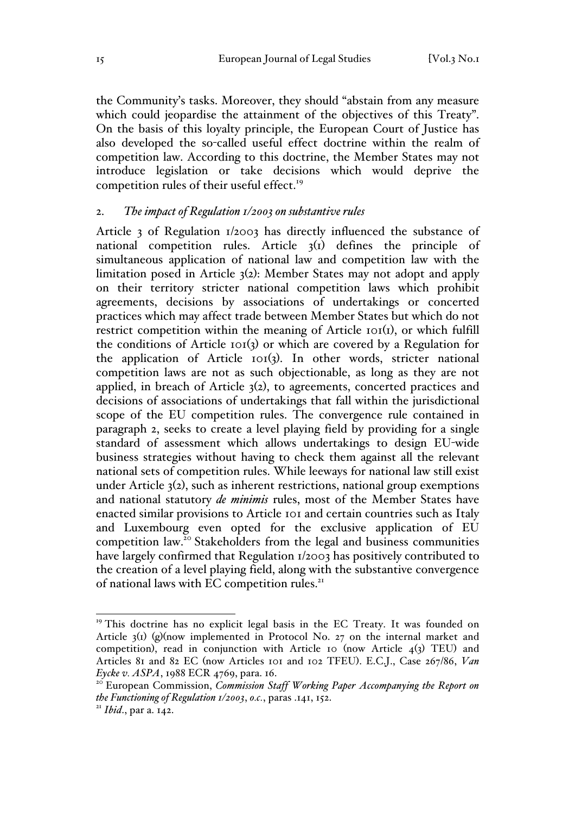the Community's tasks. Moreover, they should "abstain from any measure which could jeopardise the attainment of the objectives of this Treaty". On the basis of this loyalty principle, the European Court of Justice has also developed the so-called useful effect doctrine within the realm of competition law. According to this doctrine, the Member States may not introduce legislation or take decisions which would deprive the competition rules of their useful effect.<sup>19</sup>

### 2. *The impact of Regulation 1/2003 on substantive rules*

Article 3 of Regulation 1/2003 has directly influenced the substance of national competition rules. Article 3(1) defines the principle of simultaneous application of national law and competition law with the limitation posed in Article 3(2): Member States may not adopt and apply on their territory stricter national competition laws which prohibit agreements, decisions by associations of undertakings or concerted practices which may affect trade between Member States but which do not restrict competition within the meaning of Article 101(1), or which fulfill the conditions of Article 101(3) or which are covered by a Regulation for the application of Article 101(3). In other words, stricter national competition laws are not as such objectionable, as long as they are not applied, in breach of Article 3(2), to agreements, concerted practices and decisions of associations of undertakings that fall within the jurisdictional scope of the EU competition rules. The convergence rule contained in paragraph 2, seeks to create a level playing field by providing for a single standard of assessment which allows undertakings to design EU-wide business strategies without having to check them against all the relevant national sets of competition rules. While leeways for national law still exist under Article 3(2), such as inherent restrictions, national group exemptions and national statutory *de minimis* rules, most of the Member States have enacted similar provisions to Article 101 and certain countries such as Italy and Luxembourg even opted for the exclusive application of EU competition law.<sup>20</sup> Stakeholders from the legal and business communities have largely confirmed that Regulation 1/2003 has positively contributed to the creation of a level playing field, along with the substantive convergence of national laws with EC competition rules.<sup>21</sup>

<sup>&</sup>lt;sup>19</sup> This doctrine has no explicit legal basis in the EC Treaty. It was founded on Article  $\zeta_1$ ) (g)(now implemented in Protocol No. 27 on the internal market and competition), read in conjunction with Article 10 (now Article  $4(3)$  TEU) and Articles 81 and 82 EC (now Articles 101 and 102 TFEU). E.C.J., Case 267/86, *Van Eycke v. ASPA*, 1988 ECR 4769, para. 16.<br><sup>20</sup> European Commission, *Commission Staff Working Paper Accompanying the Report on* 

*the Functioning of Regulation 1/2003*, *o.c.*, paras .141, 152.<br><sup>21</sup> *Ibid.*, par a. 142.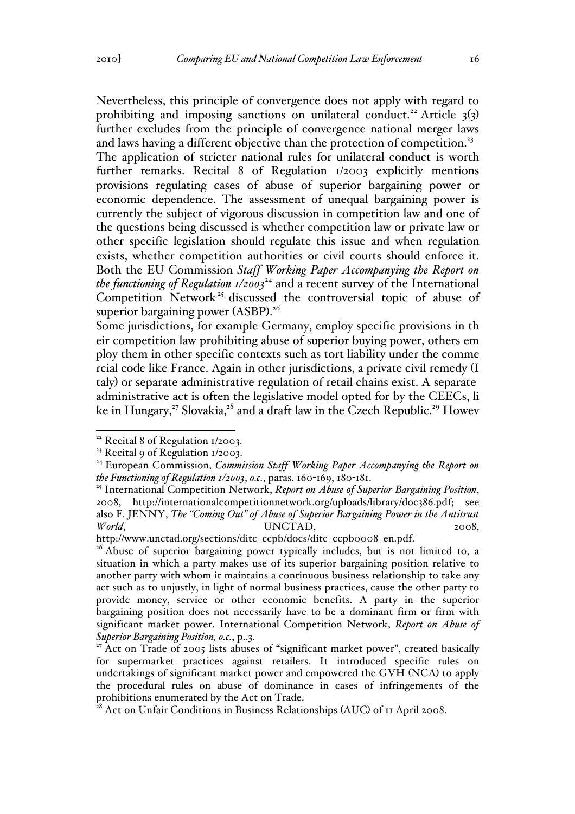Nevertheless, this principle of convergence does not apply with regard to prohibiting and imposing sanctions on unilateral conduct.<sup>22</sup> Article  $3(3)$ further excludes from the principle of convergence national merger laws and laws having a different objective than the protection of competition.<sup>23</sup>

The application of stricter national rules for unilateral conduct is worth further remarks. Recital 8 of Regulation 1/2003 explicitly mentions provisions regulating cases of abuse of superior bargaining power or economic dependence. The assessment of unequal bargaining power is currently the subject of vigorous discussion in competition law and one of the questions being discussed is whether competition law or private law or other specific legislation should regulate this issue and when regulation exists, whether competition authorities or civil courts should enforce it. Both the EU Commission *Staff Working Paper Accompanying the Report on the functioning of Regulation*  $I/2003^{24}$  *and a recent survey of the International* Competition Network<sup>25</sup> discussed the controversial topic of abuse of superior bargaining power (ASBP).<sup>26</sup>

Some jurisdictions, for example Germany, employ specific provisions in th eir competition law prohibiting abuse of superior buying power, others em ploy them in other specific contexts such as tort liability under the comme rcial code like France. Again in other jurisdictions, a private civil remedy (I taly) or separate administrative regulation of retail chains exist. A separate administrative act is often the legislative model opted for by the CEECs, li ke in Hungary,<sup>27</sup> Slovakia,<sup>28</sup> and a draft law in the Czech Republic.<sup>29</sup> Howev

<sup>&</sup>lt;sup>22</sup> Recital 8 of Regulation 1/2003.

<sup>&</sup>lt;sup>23</sup> Recital 9 of Regulation  $1/2003$ .

<sup>&</sup>lt;sup>24</sup> European Commission, *Commission Staff Working Paper Accompanying the Report on the Functioning of Regulation 1/2003*, *o.c.*, paras. 160-169, 180-181.

<sup>25</sup> International Competition Network, *Report on Abuse of Superior Bargaining Position*, 2008, http://internationalcompetitionnetwork.org/uploads/library/doc386.pdf; see also F. JENNY, *The "Coming Out" of Abuse of Superior Bargaining Power in the Antitrust World*, UNCTAD, 2008,

http://www.unctad.org/sections/ditc\_ccpb/docs/ditc\_ccpb0008\_en.pdf.<br><sup>26</sup> Abuse of superior bargaining power typically includes, but is not limited to, a situation in which a party makes use of its superior bargaining position relative to another party with whom it maintains a continuous business relationship to take any act such as to unjustly, in light of normal business practices, cause the other party to provide money, service or other economic benefits. A party in the superior bargaining position does not necessarily have to be a dominant firm or firm with significant market power. International Competition Network, *Report on Abuse of Superior Bargaining Position, o.c.*, p..3.

 $27$  Act on Trade of 2005 lists abuses of "significant market power", created basically for supermarket practices against retailers. It introduced specific rules on undertakings of significant market power and empowered the GVH (NCA) to apply the procedural rules on abuse of dominance in cases of infringements of the prohibitions enumerated by the Act on Trade.

 $^{\overline{28}}$  Act on Unfair Conditions in Business Relationships (AUC) of 11 April 2008.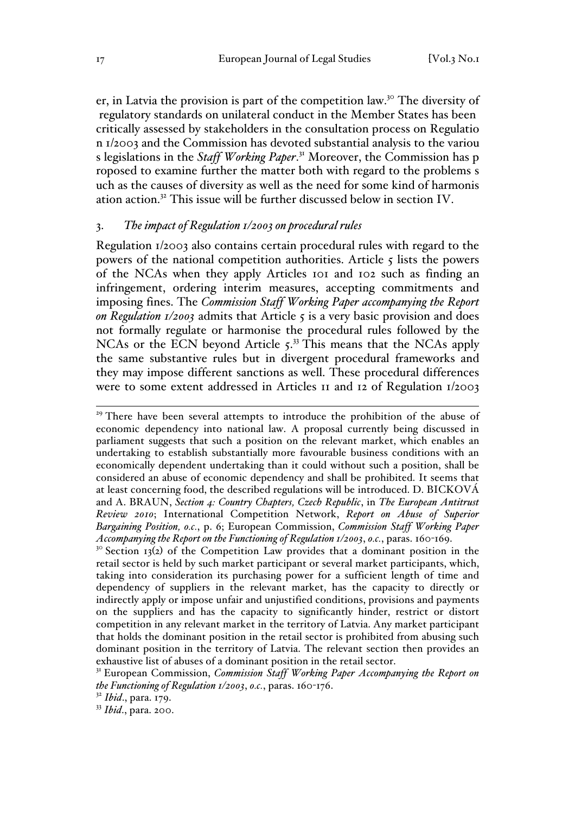er, in Latvia the provision is part of the competition law.30 The diversity of regulatory standards on unilateral conduct in the Member States has been critically assessed by stakeholders in the consultation process on Regulatio n 1/2003 and the Commission has devoted substantial analysis to the variou s legislations in the *Staff Working Paper*. <sup>31</sup> Moreover, the Commission has p roposed to examine further the matter both with regard to the problems s uch as the causes of diversity as well as the need for some kind of harmonis ation action.<sup>32</sup> This issue will be further discussed below in section IV.

#### 3. *The impact of Regulation 1/2003 on procedural rules*

Regulation 1/2003 also contains certain procedural rules with regard to the powers of the national competition authorities. Article  $\zeta$  lists the powers of the NCAs when they apply Articles 101 and 102 such as finding an infringement, ordering interim measures, accepting commitments and imposing fines. The *Commission Staff Working Paper accompanying the Report on Regulation 1/2003* admits that Article 5 is a very basic provision and does not formally regulate or harmonise the procedural rules followed by the NCAs or the ECN beyond Article 5.<sup>33</sup> This means that the NCAs apply the same substantive rules but in divergent procedural frameworks and they may impose different sanctions as well. These procedural differences were to some extent addressed in Articles 11 and 12 of Regulation 1/2003

 $30$  Section 13(2) of the Competition Law provides that a dominant position in the retail sector is held by such market participant or several market participants, which, taking into consideration its purchasing power for a sufficient length of time and dependency of suppliers in the relevant market, has the capacity to directly or indirectly apply or impose unfair and unjustified conditions, provisions and payments on the suppliers and has the capacity to significantly hinder, restrict or distort competition in any relevant market in the territory of Latvia. Any market participant that holds the dominant position in the retail sector is prohibited from abusing such dominant position in the territory of Latvia. The relevant section then provides an exhaustive list of abuses of a dominant position in the retail sector.

<sup>32</sup> *Ibid*., para. 179.

<sup>33</sup> *Ibid*., para. 200.

<sup>&</sup>lt;sup>29</sup> There have been several attempts to introduce the prohibition of the abuse of economic dependency into national law. A proposal currently being discussed in parliament suggests that such a position on the relevant market, which enables an undertaking to establish substantially more favourable business conditions with an economically dependent undertaking than it could without such a position, shall be considered an abuse of economic dependency and shall be prohibited. It seems that at least concerning food, the described regulations will be introduced. D. BICKOVÁ and A. BRAUN, *Section 4: Country Chapters, Czech Republic*, in *The European Antitrust Review 2010*; International Competition Network, *Report on Abuse of Superior Bargaining Position, o.c.*, p. 6; European Commission, *Commission Staff Working Paper Accompanying the Report on the Functioning of Regulation 1/2003*, *o.c.*, paras. 160-169.

<sup>&</sup>lt;sup>31</sup> European Commission, *Commission Staff Working Paper Accompanying the Report on the Functioning of Regulation 1/2003*, *o.c.*, paras. 160-176.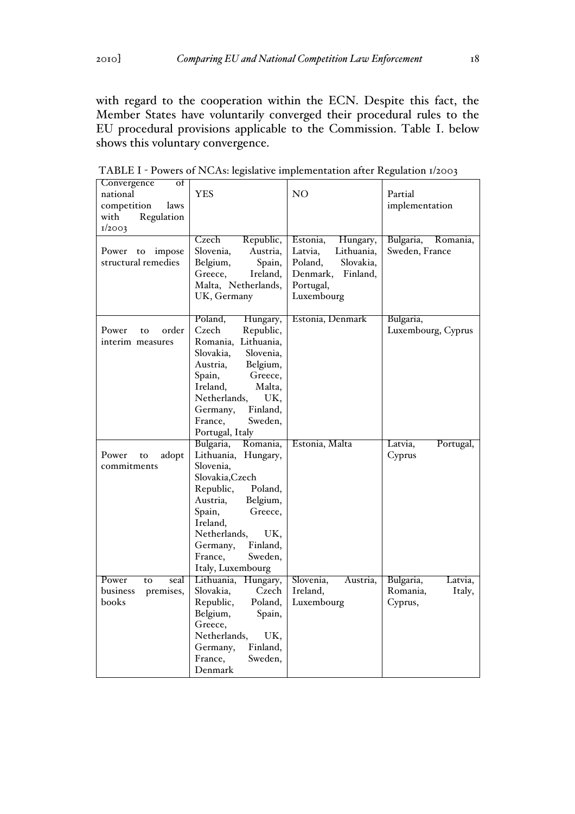with regard to the cooperation within the ECN. Despite this fact, the Member States have voluntarily converged their procedural rules to the EU procedural provisions applicable to the Commission. Table I. below shows this voluntary convergence.

| Convergence<br>οf<br>national<br>competition<br>laws<br>Regulation<br>with<br>1/2003 | <b>YES</b>                                                                                                                                                                                                                                              | N <sub>O</sub>                                                                                                           | Partial<br>implementation                             |
|--------------------------------------------------------------------------------------|---------------------------------------------------------------------------------------------------------------------------------------------------------------------------------------------------------------------------------------------------------|--------------------------------------------------------------------------------------------------------------------------|-------------------------------------------------------|
| impose<br>Power<br>to<br>structural remedies                                         | Czech<br>Republic,<br>Slovenia,<br>Austria,<br>Belgium,<br>Spain,<br>Greece,<br>Ireland,<br>Malta, Netherlands,<br>UK, Germany                                                                                                                          | Estonia,<br>Hungary,<br>Latvia.<br>Lithuania,<br>Poland,<br>Slovakia,<br>Denmark,<br>Finland,<br>Portugal,<br>Luxembourg | Bulgaria,<br>Romania,<br>Sweden, France               |
| order<br>Power<br>to<br>interim measures                                             | Poland,<br>Hungary,<br>Czech<br>Republic,<br>Romania, Lithuania,<br>Slovakia,<br>Slovenia,<br>Austria,<br>Belgium,<br>Greece,<br>Spain,<br>Ireland,<br>Malta,<br>UK,<br>Netherlands,<br>Finland,<br>Germany,<br>France,<br>Sweden,<br>Portugal, Italy   | Estonia, Denmark                                                                                                         | Bulgaria,<br>Luxembourg, Cyprus                       |
| Power<br>adopt<br>to<br>commitments                                                  | Bulgaria,<br>Romania,<br>Lithuania, Hungary,<br>Slovenia,<br>Slovakia, Czech<br>Poland,<br>Republic,<br>Austria,<br>Belgium,<br>Spain,<br>Greece,<br>Ireland,<br>Netherlands,<br>UK.<br>Finland,<br>Germany,<br>France,<br>Sweden,<br>Italy, Luxembourg | Estonia, Malta                                                                                                           | Latvia,<br>Portugal,<br>Cyprus                        |
| Power<br>to<br>seal<br>premises,<br>business<br>books                                | Lithuania,<br>Hungary,<br>Czech<br>Slovakia,<br>Poland,<br>Republic,<br>Belgium,<br>Spain,<br>Greece,<br>Netherlands,<br>UK.<br>Finland,<br>Germany,<br>France.<br>Sweden,<br>Denmark                                                                   | Slovenia,<br>Austria,<br>Ireland,<br>Luxembourg                                                                          | Bulgaria,<br>Latvia,<br>Romania,<br>Italy,<br>Cyprus, |

TABLE I - Powers of NCAs: legislative implementation after Regulation 1/2003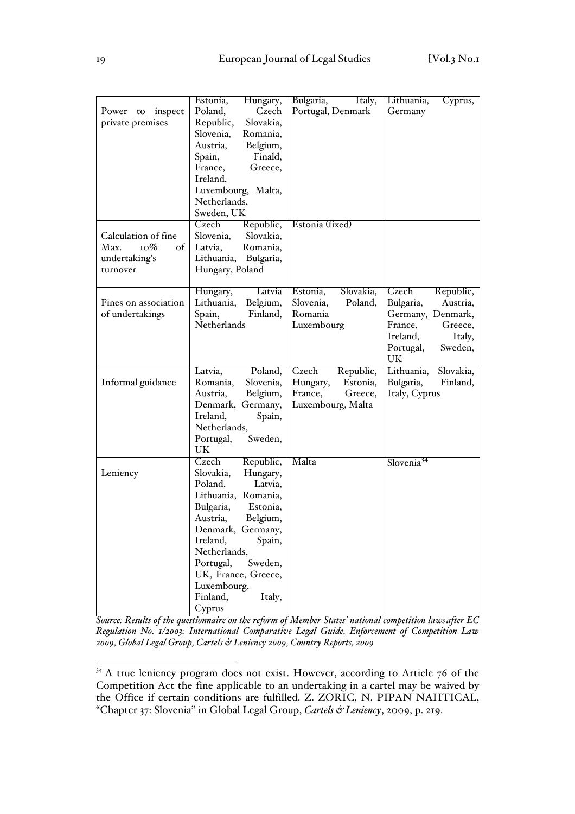|                                | Estonia,<br>Hungary,         | Bulgaria,<br>Italy,   | Lithuania,<br>Cyprus,   |
|--------------------------------|------------------------------|-----------------------|-------------------------|
| inspect<br>Power to            | Poland,<br>Czech             | Portugal, Denmark     | Germany                 |
| private premises               | Republic,<br>Slovakia,       |                       |                         |
|                                | Slovenia,<br>Romania,        |                       |                         |
|                                | Belgium,<br>Austria,         |                       |                         |
|                                | Finald,<br>Spain,            |                       |                         |
|                                | France,<br>Greece,           |                       |                         |
|                                | Ireland,                     |                       |                         |
|                                |                              |                       |                         |
|                                | Luxembourg, Malta,           |                       |                         |
|                                | Netherlands,                 |                       |                         |
|                                | Sweden, UK                   |                       |                         |
|                                | Republic,<br>Czech           | Estonia (fixed)       |                         |
| Calculation of fine            | Slovenia,<br>Slovakia,       |                       |                         |
| $_{\text{IO}}\%$<br>Max.<br>of | Romania,<br>Latvia,          |                       |                         |
| undertaking's                  | Lithuania, Bulgaria,         |                       |                         |
| turnover                       | Hungary, Poland              |                       |                         |
|                                |                              |                       |                         |
|                                | Latvia<br>Hungary,           | Slovakia,<br>Estonia, | Czech<br>Republic,      |
| Fines on association           | Lithuania, Belgium,          | Slovenia,<br>Poland,  | Bulgaria,<br>Austria,   |
| of undertakings                | Spain,<br>Finland,           | Romania               | Germany, Denmark,       |
|                                | Netherlands                  | Luxembourg            | France,<br>Greece,      |
|                                |                              |                       | Ireland,<br>Italy,      |
|                                |                              |                       | Sweden,<br>Portugal,    |
|                                |                              |                       | UK                      |
|                                | Poland,<br>Latvia,           | Czech<br>Republic,    | Lithuania,<br>Slovakia, |
| Informal guidance              | Slovenia,<br>Romania,        | Hungary,<br>Estonia,  | Bulgaria,<br>Finland,   |
|                                | Belgium,<br>Austria,         | France,<br>Greece,    | Italy, Cyprus           |
|                                |                              |                       |                         |
|                                |                              |                       |                         |
|                                | Denmark, Germany,            | Luxembourg, Malta     |                         |
|                                | Ireland,<br>Spain,           |                       |                         |
|                                | Netherlands,                 |                       |                         |
|                                | Portugal,<br>Sweden,         |                       |                         |
|                                | UK                           |                       |                         |
|                                | Czech<br>Republic,           | Malta                 | Slovenia <sup>34</sup>  |
| Leniency                       | Slovakia,<br>Hungary,        |                       |                         |
|                                | Poland,<br>Latvia,           |                       |                         |
|                                | Lithuania, Romania,          |                       |                         |
|                                | Bulgaria,<br>Estonia,        |                       |                         |
|                                | Austria,<br>Belgium,         |                       |                         |
|                                | Denmark, Germany,            |                       |                         |
|                                | Ireland,                     |                       |                         |
|                                | Spain,<br>Netherlands,       |                       |                         |
|                                |                              |                       |                         |
|                                | Portugal,<br>Sweden,         |                       |                         |
|                                | UK, France, Greece,          |                       |                         |
|                                | Luxembourg,                  |                       |                         |
|                                | Finland,<br>Italy,<br>Cyprus |                       |                         |

*Source: Results of the questionnaire on the reform of Member States' national competition laws after EC Regulation No. 1/2003; International Comparative Legal Guide, Enforcement of Competition Law 2009, Global Legal Group, Cartels & Leniency 2009, Country Reports, 2009*

<sup>&</sup>lt;sup>34</sup> A true leniency program does not exist. However, according to Article 76 of the Competition Act the fine applicable to an undertaking in a cartel may be waived by the Office if certain conditions are fulfilled. Z. ZORIC, N. PIPAN NAHTICAL, "Chapter 37: Slovenia" in Global Legal Group, *Cartels & Leniency*, 2009, p. 219.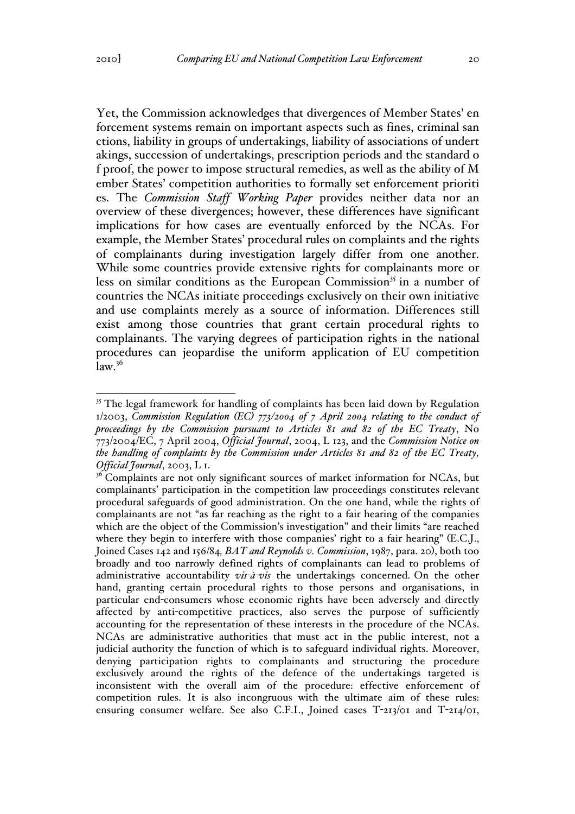Yet, the Commission acknowledges that divergences of Member States' en forcement systems remain on important aspects such as fines, criminal san ctions, liability in groups of undertakings, liability of associations of undert akings, succession of undertakings, prescription periods and the standard o f proof, the power to impose structural remedies, as well as the ability of M ember States' competition authorities to formally set enforcement prioriti es. The *Commission Staff Working Paper* provides neither data nor an overview of these divergences; however, these differences have significant implications for how cases are eventually enforced by the NCAs. For example, the Member States' procedural rules on complaints and the rights of complainants during investigation largely differ from one another. While some countries provide extensive rights for complainants more or less on similar conditions as the European Commission<sup>35</sup> in a number of countries the NCAs initiate proceedings exclusively on their own initiative and use complaints merely as a source of information. Differences still exist among those countries that grant certain procedural rights to complainants. The varying degrees of participation rights in the national procedures can jeopardise the uniform application of EU competition  $law<sup>36</sup>$ 

<sup>&</sup>lt;sup>35</sup> The legal framework for handling of complaints has been laid down by Regulation 1/2003, *Commission Regulation (EC) 773/2004 of 7 April 2004 relating to the conduct of proceedings by the Commission pursuant to Articles 81 and 82 of the EC Treaty*, No 773/2004/EC, 7 April 2004, *Official Journal*, 2004, L 123, and the *Commission Notice on the handling of complaints by the Commission under Articles 81 and 82 of the EC Treaty, Official Journal*, 2003, L 1.

<sup>&</sup>lt;sup>36</sup> Complaints are not only significant sources of market information for NCAs, but complainants' participation in the competition law proceedings constitutes relevant procedural safeguards of good administration. On the one hand, while the rights of complainants are not "as far reaching as the right to a fair hearing of the companies which are the object of the Commission's investigation" and their limits "are reached where they begin to interfere with those companies' right to a fair hearing" (E.C.J., Joined Cases 142 and 156/84*, BAT and Reynolds v. Commission*, 1987, para. 20), both too broadly and too narrowly defined rights of complainants can lead to problems of administrative accountability *vis-à-vis* the undertakings concerned. On the other hand, granting certain procedural rights to those persons and organisations, in particular end-consumers whose economic rights have been adversely and directly affected by anti-competitive practices, also serves the purpose of sufficiently accounting for the representation of these interests in the procedure of the NCAs. NCAs are administrative authorities that must act in the public interest, not a judicial authority the function of which is to safeguard individual rights. Moreover, denying participation rights to complainants and structuring the procedure exclusively around the rights of the defence of the undertakings targeted is inconsistent with the overall aim of the procedure: effective enforcement of competition rules. It is also incongruous with the ultimate aim of these rules: ensuring consumer welfare. See also C.F.I., Joined cases T-213/01 and T-214/01,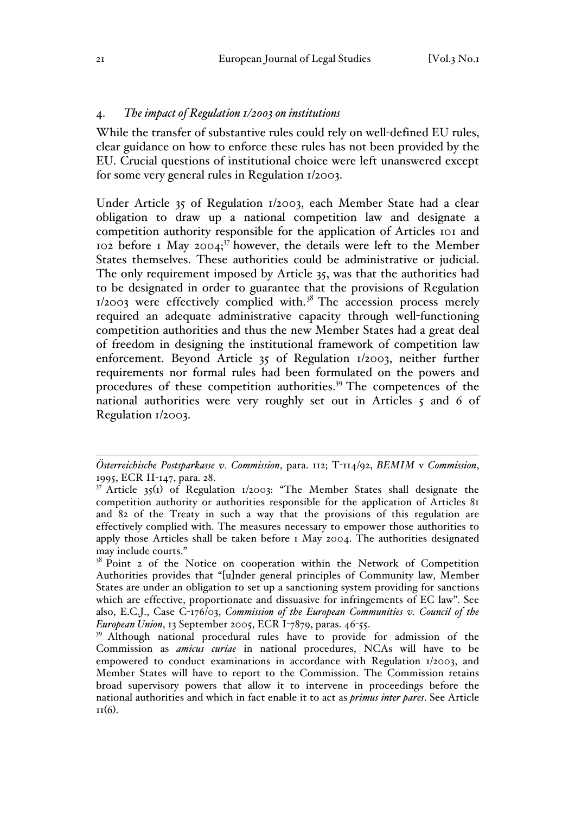#### 4. *The impact of Regulation 1/2003 on institutions*

While the transfer of substantive rules could rely on well-defined EU rules, clear guidance on how to enforce these rules has not been provided by the EU. Crucial questions of institutional choice were left unanswered except for some very general rules in Regulation 1/2003.

Under Article 35 of Regulation 1/2003, each Member State had a clear obligation to draw up a national competition law and designate a competition authority responsible for the application of Articles 101 and 102 before 1 May 2004; $37$  however, the details were left to the Member States themselves. These authorities could be administrative or judicial. The only requirement imposed by Article 35, was that the authorities had to be designated in order to guarantee that the provisions of Regulation  $1/2003$  were effectively complied with.<sup>38</sup> The accession process merely required an adequate administrative capacity through well-functioning competition authorities and thus the new Member States had a great deal of freedom in designing the institutional framework of competition law enforcement. Beyond Article 35 of Regulation 1/2003, neither further requirements nor formal rules had been formulated on the powers and procedures of these competition authorities.<sup>39</sup> The competences of the national authorities were very roughly set out in Articles 5 and 6 of Regulation 1/2003.

<sup>&</sup>lt;u>.</u> *Österreichische Postsparkasse v. Commission*, para. 112; T-114/92, *BEMIM* v *Commission*, 1995, ECR II-147, para. 28.

<sup>&</sup>lt;sup>37</sup> Article  $35^{(1)}$  of Regulation  $1/2003$ : "The Member States shall designate the competition authority or authorities responsible for the application of Articles 81 and 82 of the Treaty in such a way that the provisions of this regulation are effectively complied with. The measures necessary to empower those authorities to apply those Articles shall be taken before 1 May 2004. The authorities designated may include courts."

<sup>&</sup>lt;sup>38</sup> Point 2 of the Notice on cooperation within the Network of Competition Authorities provides that "[u]nder general principles of Community law, Member States are under an obligation to set up a sanctioning system providing for sanctions which are effective, proportionate and dissuasive for infringements of EC law". See also, E.C.J., Case C-176/03, *Commission of the European Communities v. Council of the European Union*, 13 September 2005, ECR I-7879, paras. 46-55.

<sup>&</sup>lt;sup>39</sup> Although national procedural rules have to provide for admission of the Commission as *amicus curiae* in national procedures, NCAs will have to be empowered to conduct examinations in accordance with Regulation 1/2003, and Member States will have to report to the Commission. The Commission retains broad supervisory powers that allow it to intervene in proceedings before the national authorities and which in fact enable it to act as *primus inter pares*. See Article  $II(6)$ .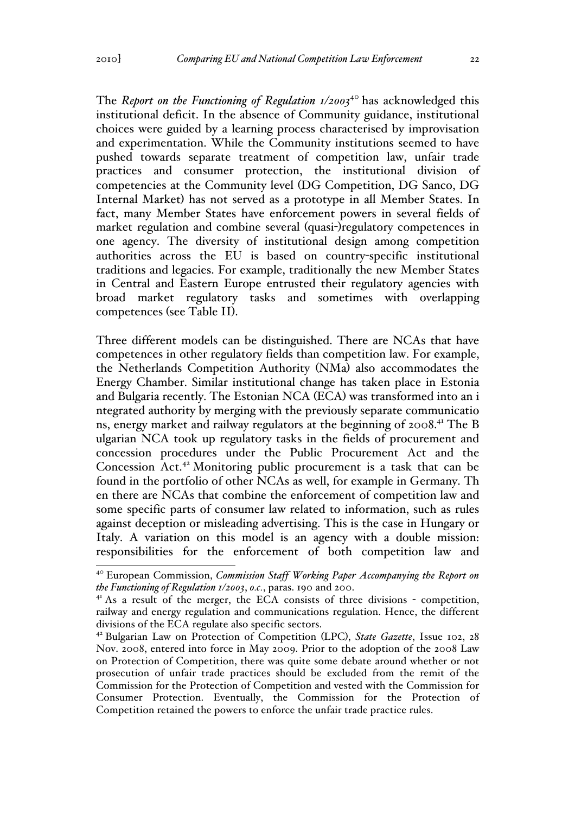The *Report on the Functioning of Regulation 1/2003*<sup>40</sup> has acknowledged this institutional deficit. In the absence of Community guidance, institutional choices were guided by a learning process characterised by improvisation and experimentation. While the Community institutions seemed to have pushed towards separate treatment of competition law, unfair trade practices and consumer protection, the institutional division of competencies at the Community level (DG Competition, DG Sanco, DG Internal Market) has not served as a prototype in all Member States. In fact, many Member States have enforcement powers in several fields of market regulation and combine several (quasi-)regulatory competences in one agency. The diversity of institutional design among competition authorities across the EU is based on country-specific institutional traditions and legacies. For example, traditionally the new Member States in Central and Eastern Europe entrusted their regulatory agencies with broad market regulatory tasks and sometimes with overlapping competences (see Table II).

Three different models can be distinguished. There are NCAs that have competences in other regulatory fields than competition law. For example, the Netherlands Competition Authority (NMa) also accommodates the Energy Chamber. Similar institutional change has taken place in Estonia and Bulgaria recently. The Estonian NCA (ECA) was transformed into an i ntegrated authority by merging with the previously separate communicatio ns, energy market and railway regulators at the beginning of 2008.<sup>41</sup> The B ulgarian NCA took up regulatory tasks in the fields of procurement and concession procedures under the Public Procurement Act and the Concession Act.<sup>42</sup> Monitoring public procurement is a task that can be found in the portfolio of other NCAs as well, for example in Germany. Th en there are NCAs that combine the enforcement of competition law and some specific parts of consumer law related to information, such as rules against deception or misleading advertising. This is the case in Hungary or Italy. A variation on this model is an agency with a double mission: responsibilities for the enforcement of both competition law and

<sup>&</sup>lt;sup>40</sup> European Commission, *Commission Staff Working Paper Accompanying the Report on the Functioning of Regulation 1/2003*, *o.c.*, paras. 190 and 200.

<sup>&</sup>lt;sup>41</sup> As a result of the merger, the ECA consists of three divisions - competition, railway and energy regulation and communications regulation. Hence, the different divisions of the ECA regulate also specific sectors.

<sup>42</sup> Bulgarian Law on Protection of Competition (LPC), *State Gazette*, Issue 102, 28 Nov. 2008, entered into force in May 2009. Prior to the adoption of the 2008 Law on Protection of Competition, there was quite some debate around whether or not prosecution of unfair trade practices should be excluded from the remit of the Commission for the Protection of Competition and vested with the Commission for Consumer Protection. Eventually, the Commission for the Protection of Competition retained the powers to enforce the unfair trade practice rules.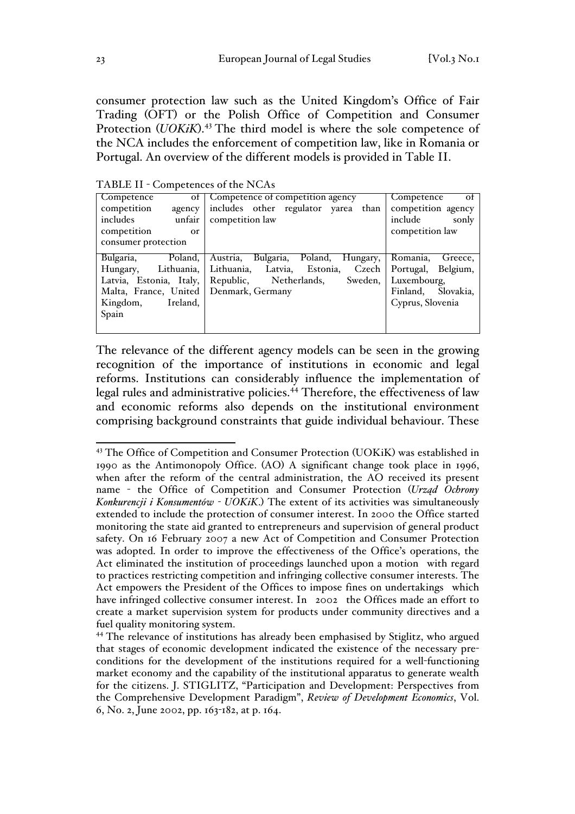consumer protection law such as the United Kingdom's Office of Fair Trading (OFT) or the Polish Office of Competition and Consumer Protection (*UOKiK*).<sup>43</sup> The third model is where the sole competence of the NCA includes the enforcement of competition law, like in Romania or Portugal. An overview of the different models is provided in Table II.

TABLE II - Competences of the NCAs

| Competence           |            | of Competence of competition agency                       | Competence<br>- of    |
|----------------------|------------|-----------------------------------------------------------|-----------------------|
| competition          | agency     | includes other regulator yarea than                       | competition agency    |
| includes             | unfair     | competition law                                           | include<br>sonly      |
| competition          | <b>or</b>  |                                                           | competition law       |
| consumer protection  |            |                                                           |                       |
|                      |            |                                                           |                       |
| Bulgaria,            | Poland,    | Bulgaria, Poland, Hungary,<br>Austria,                    | Romania,<br>Greece,   |
| Hungary,             | Lithuania, | Lithuania, Latvia, Estonia, Czech                         | Portugal, Belgium,    |
|                      |            | Latvia, Estonia, Italy, Republic, Netherlands,<br>Sweden, | Luxembourg,           |
|                      |            | Malta, France, United   Denmark, Germany                  | Finland,<br>Slovakia, |
| Kingdom,<br>Ireland, |            |                                                           | Cyprus, Slovenia      |
| Spain                |            |                                                           |                       |
|                      |            |                                                           |                       |

The relevance of the different agency models can be seen in the growing recognition of the importance of institutions in economic and legal reforms. Institutions can considerably influence the implementation of legal rules and administrative policies.<sup>44</sup> Therefore, the effectiveness of law and economic reforms also depends on the institutional environment comprising background constraints that guide individual behaviour. These

<sup>&</sup>lt;sup>43</sup> The Office of Competition and Consumer Protection (UOKiK) was established in 1990 as the Antimonopoly Office. (AO) A significant change took place in 1996, when after the reform of the central administration, the AO received its present name - the Office of Competition and Consumer Protection (*Urząd Ochrony Konkurencji i Konsumentów - UOKiK*.) The extent of its activities was simultaneously extended to include the protection of consumer interest. In 2000 the Office started monitoring the state aid granted to entrepreneurs and supervision of general product safety. On 16 February 2007 a new Act of Competition and Consumer Protection was adopted. In order to improve the effectiveness of the Office's operations, the Act eliminated the institution of proceedings launched upon a motion with regard to practices restricting competition and infringing collective consumer interests. The Act empowers the President of the Offices to impose fines on undertakings which have infringed collective consumer interest. In 2002 the Offices made an effort to create a market supervision system for products under community directives and a fuel quality monitoring system.

<sup>44</sup> The relevance of institutions has already been emphasised by Stiglitz, who argued that stages of economic development indicated the existence of the necessary preconditions for the development of the institutions required for a well-functioning market economy and the capability of the institutional apparatus to generate wealth for the citizens. J. STIGLITZ, "Participation and Development: Perspectives from the Comprehensive Development Paradigm", *Review of Development Economics*, Vol. 6, No. 2, June 2002, pp. 163-182, at p. 164.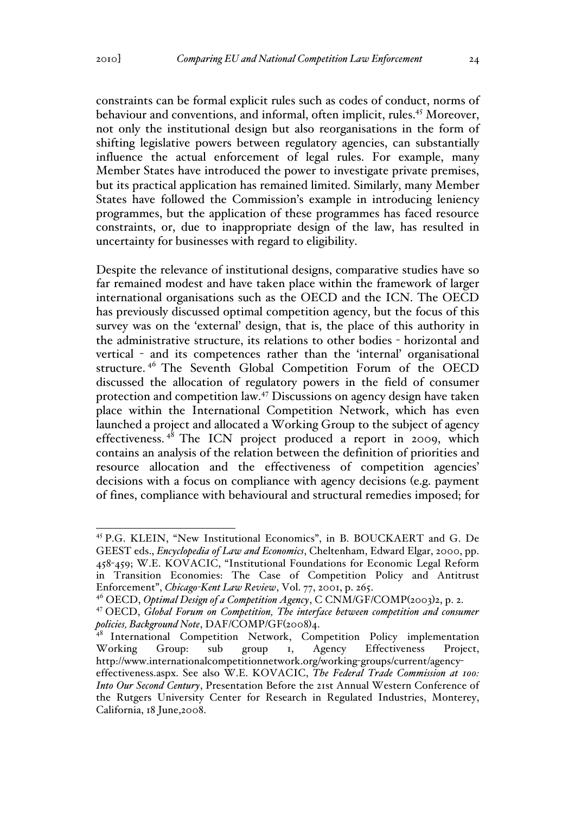constraints can be formal explicit rules such as codes of conduct, norms of behaviour and conventions, and informal, often implicit, rules.<sup>45</sup> Moreover, not only the institutional design but also reorganisations in the form of shifting legislative powers between regulatory agencies, can substantially influence the actual enforcement of legal rules. For example, many Member States have introduced the power to investigate private premises, but its practical application has remained limited. Similarly, many Member States have followed the Commission's example in introducing leniency programmes, but the application of these programmes has faced resource constraints, or, due to inappropriate design of the law, has resulted in uncertainty for businesses with regard to eligibility.

Despite the relevance of institutional designs, comparative studies have so far remained modest and have taken place within the framework of larger international organisations such as the OECD and the ICN. The OECD has previously discussed optimal competition agency, but the focus of this survey was on the 'external' design, that is, the place of this authority in the administrative structure, its relations to other bodies - horizontal and vertical - and its competences rather than the 'internal' organisational structure. <sup>46</sup> The Seventh Global Competition Forum of the OECD discussed the allocation of regulatory powers in the field of consumer protection and competition law.<sup>47</sup> Discussions on agency design have taken place within the International Competition Network, which has even launched a project and allocated a Working Group to the subject of agency effectiveness.  $4^8$  The ICN project produced a report in 2009, which contains an analysis of the relation between the definition of priorities and resource allocation and the effectiveness of competition agencies' decisions with a focus on compliance with agency decisions (e.g. payment of fines, compliance with behavioural and structural remedies imposed; for

 <sup>45</sup> P.G. KLEIN, "New Institutional Economics", in B. BOUCKAERT and G. De GEEST eds., *Encyclopedia of Law and Economics*, Cheltenham, Edward Elgar, 2000, pp. 458-459; W.E. KOVACIC, "Institutional Foundations for Economic Legal Reform in Transition Economies: The Case of Competition Policy and Antitrust Enforcement", *Chicago-Kent Law Review*, Vol. 77, 2001, p. 265.

<sup>46</sup> OECD, *Optimal Design of a Competition Agency*, C CNM/GF/COMP(2003)2, p. 2.

<sup>47</sup> OECD, *Global Forum on Competition, The interface between competition and consumer policies, Background Note*, DAF/COMP/GF(2008)4.

<sup>48</sup> International Competition Network, Competition Policy implementation Working Group: sub group 1, Agency Effectiveness Project, http://www.internationalcompetitionnetwork.org/working-groups/current/agencyeffectiveness.aspx. See also W.E. KOVACIC, *The Federal Trade Commission at 100: Into Our Second Century*, Presentation Before the 21st Annual Western Conference of the Rutgers University Center for Research in Regulated Industries, Monterey, California, 18 June,2008.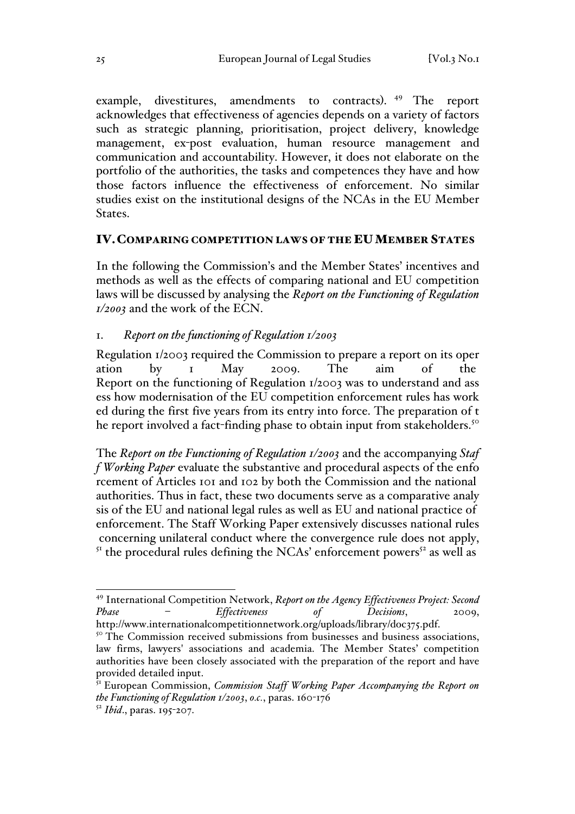example, divestitures, amendments to contracts). <sup>49</sup> The report acknowledges that effectiveness of agencies depends on a variety of factors such as strategic planning, prioritisation, project delivery, knowledge management, ex-post evaluation, human resource management and communication and accountability. However, it does not elaborate on the portfolio of the authorities, the tasks and competences they have and how those factors influence the effectiveness of enforcement. No similar studies exist on the institutional designs of the NCAs in the EU Member States.

#### IV.COMPARING COMPETITION LAWS OF THE EUMEMBER STATES

In the following the Commission's and the Member States' incentives and methods as well as the effects of comparing national and EU competition laws will be discussed by analysing the *Report on the Functioning of Regulation 1/2003* and the work of the ECN.

### 1. *Report on the functioning of Regulation 1/2003*

Regulation 1/2003 required the Commission to prepare a report on its oper ation by 1 May 2009. The aim of the Report on the functioning of Regulation 1/2003 was to understand and ass ess how modernisation of the EU competition enforcement rules has work ed during the first five years from its entry into force. The preparation of t he report involved a fact-finding phase to obtain input from stakeholders.<sup>50</sup>

The *Report on the Functioning of Regulation 1/2003* and the accompanying *Staf f Working Paper* evaluate the substantive and procedural aspects of the enfo rcement of Articles 101 and 102 by both the Commission and the national authorities. Thus in fact, these two documents serve as a comparative analy sis of the EU and national legal rules as well as EU and national practice of enforcement. The Staff Working Paper extensively discusses national rules concerning unilateral conduct where the convergence rule does not apply,  $5<sup>T</sup>$  the procedural rules defining the NCAs' enforcement powers<sup>52</sup> as well as

 <sup>49</sup> International Competition Network, *Report on the Agency Effectiveness Project: Second Phase – Effectiveness of Decisions*, 2009,

http://www.internationalcompetitionnetwork.org/uploads/library/doc375.pdf.<br><sup>50</sup> The Commission received submissions from businesses and business associations,

law firms, lawyers' associations and academia. The Member States' competition authorities have been closely associated with the preparation of the report and have provided detailed input.

<sup>&</sup>lt;sup>51</sup> European Commission, *Commission Staff Working Paper Accompanying the Report on the Functioning of Regulation 1/2003*, *o.c.*, paras. 160-176

<sup>52</sup> *Ibid*., paras. 195-207.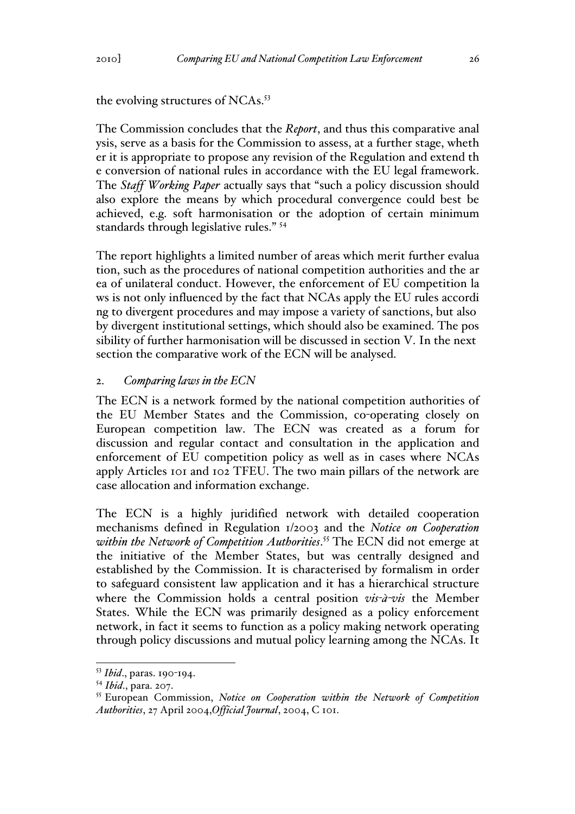the evolving structures of NCAs.<sup>53</sup>

The Commission concludes that the *Report*, and thus this comparative anal ysis, serve as a basis for the Commission to assess, at a further stage, wheth er it is appropriate to propose any revision of the Regulation and extend th e conversion of national rules in accordance with the EU legal framework. The *Staff Working Paper* actually says that "such a policy discussion should also explore the means by which procedural convergence could best be achieved, e.g. soft harmonisation or the adoption of certain minimum standards through legislative rules." <sup>54</sup>

The report highlights a limited number of areas which merit further evalua tion, such as the procedures of national competition authorities and the ar ea of unilateral conduct. However, the enforcement of EU competition la ws is not only influenced by the fact that NCAs apply the EU rules accordi ng to divergent procedures and may impose a variety of sanctions, but also by divergent institutional settings, which should also be examined. The pos sibility of further harmonisation will be discussed in section V. In the next section the comparative work of the ECN will be analysed.

### 2. *Comparing laws in the ECN*

The ECN is a network formed by the national competition authorities of the EU Member States and the Commission, co-operating closely on European competition law. The ECN was created as a forum for discussion and regular contact and consultation in the application and enforcement of EU competition policy as well as in cases where NCAs apply Articles 101 and 102 TFEU. The two main pillars of the network are case allocation and information exchange.

The ECN is a highly juridified network with detailed cooperation mechanisms defined in Regulation 1/2003 and the *Notice on Cooperation within the Network of Competition Authorities*. <sup>55</sup> The ECN did not emerge at the initiative of the Member States, but was centrally designed and established by the Commission. It is characterised by formalism in order to safeguard consistent law application and it has a hierarchical structure where the Commission holds a central position *vis-à-vis* the Member States. While the ECN was primarily designed as a policy enforcement network, in fact it seems to function as a policy making network operating through policy discussions and mutual policy learning among the NCAs. It

 <sup>53</sup> *Ibid*., paras. 190-194.

<sup>54</sup> *Ibid*., para. 207.

<sup>55</sup> European Commission, *Notice on Cooperation within the Network of Competition Authorities*, 27 April 2004,*Official Journal*, 2004, C 101.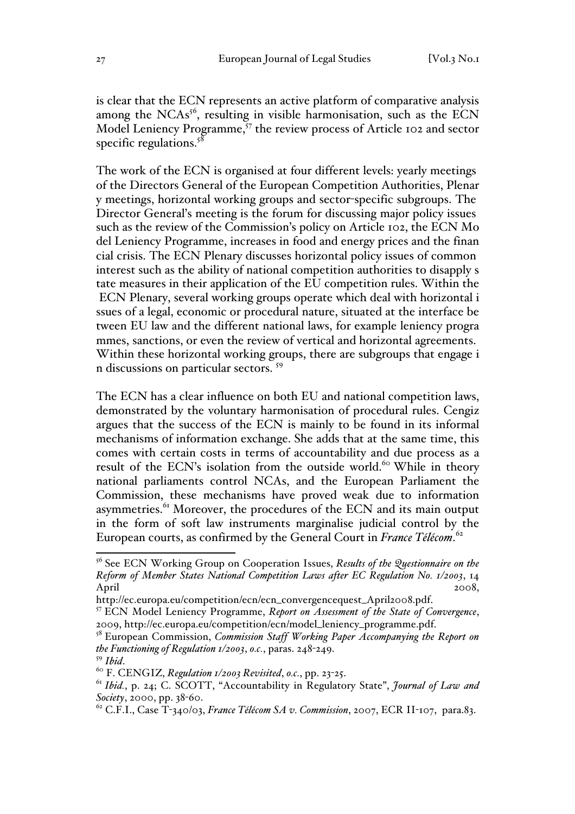is clear that the ECN represents an active platform of comparative analysis among the NCAs<sup>56</sup>, resulting in visible harmonisation, such as the ECN Model Leniency Programme,<sup>57</sup> the review process of Article 102 and sector specific regulations. $5^8$ 

The work of the ECN is organised at four different levels: yearly meetings of the Directors General of the European Competition Authorities, Plenar y meetings, horizontal working groups and sector-specific subgroups. The Director General's meeting is the forum for discussing major policy issues such as the review of the Commission's policy on Article 102, the ECN Mo del Leniency Programme, increases in food and energy prices and the finan cial crisis. The ECN Plenary discusses horizontal policy issues of common interest such as the ability of national competition authorities to disapply s tate measures in their application of the EU competition rules. Within the ECN Plenary, several working groups operate which deal with horizontal i ssues of a legal, economic or procedural nature, situated at the interface be tween EU law and the different national laws, for example leniency progra mmes, sanctions, or even the review of vertical and horizontal agreements. Within these horizontal working groups, there are subgroups that engage i n discussions on particular sectors. 59

The ECN has a clear influence on both EU and national competition laws, demonstrated by the voluntary harmonisation of procedural rules. Cengiz argues that the success of the ECN is mainly to be found in its informal mechanisms of information exchange. She adds that at the same time, this comes with certain costs in terms of accountability and due process as a result of the ECN's isolation from the outside world.<sup>60</sup> While in theory national parliaments control NCAs, and the European Parliament the Commission, these mechanisms have proved weak due to information asymmetries.<sup>61</sup> Moreover, the procedures of the ECN and its main output in the form of soft law instruments marginalise judicial control by the European courts, as confirmed by the General Court in *France Télécom*. 62

 <sup>56</sup> See ECN Working Group on Cooperation Issues, *Results of the Questionnaire on the Reform of Member States National Competition Laws after EC Regulation No. 1/2003*, 14 April 2008,

http://ec.europa.eu/competition/ecn/ecn\_convergencequest\_April2008.pdf. <sup>57</sup> ECN Model Leniency Programme, *Report on Assessment of the State of Convergence*,

<sup>2009,</sup> http://ec.europa.eu/competition/ecn/model\_leniency\_programme.pdf. 58 European Commission, *Commission Staff Working Paper Accompanying the Report on the Functioning of Regulation 1/2003*, *o.c.*, paras. 248-249.

<sup>59</sup> *Ibid*. <sup>60</sup> F. CENGIZ, *Regulation 1/2003 Revisited*, *o.c.*, pp. 23-25.

<sup>61</sup> *Ibid.*, p. 24; C. SCOTT, "Accountability in Regulatory State", *Journal of Law and Society*, 2000, pp. 38-60.

<sup>62</sup> C.F.I., Case T-340/03, *France Télécom SA v. Commission*, 2007, ECR II-107, para.83.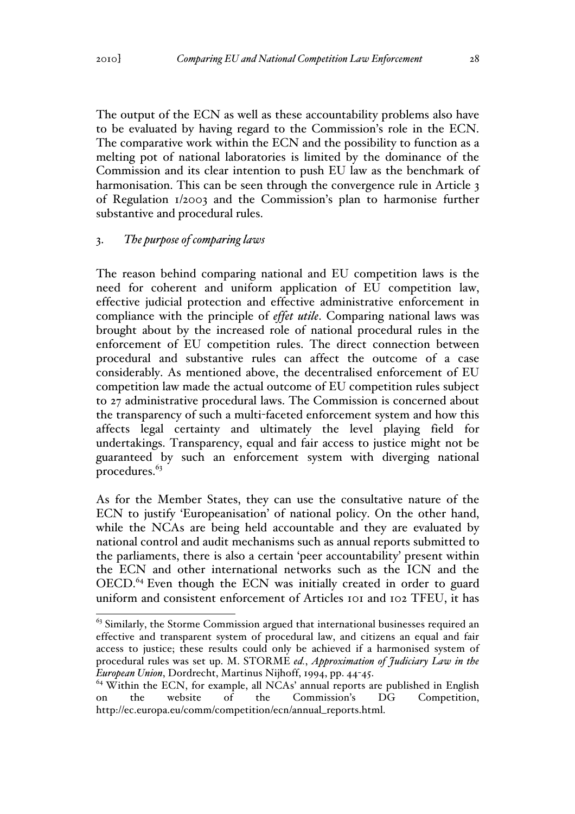The output of the ECN as well as these accountability problems also have to be evaluated by having regard to the Commission's role in the ECN. The comparative work within the ECN and the possibility to function as a melting pot of national laboratories is limited by the dominance of the Commission and its clear intention to push EU law as the benchmark of harmonisation. This can be seen through the convergence rule in Article 3 of Regulation 1/2003 and the Commission's plan to harmonise further substantive and procedural rules.

## 3. *The purpose of comparing laws*

The reason behind comparing national and EU competition laws is the need for coherent and uniform application of EU competition law, effective judicial protection and effective administrative enforcement in compliance with the principle of *effet utile*. Comparing national laws was brought about by the increased role of national procedural rules in the enforcement of EU competition rules. The direct connection between procedural and substantive rules can affect the outcome of a case considerably. As mentioned above, the decentralised enforcement of EU competition law made the actual outcome of EU competition rules subject to 27 administrative procedural laws. The Commission is concerned about the transparency of such a multi-faceted enforcement system and how this affects legal certainty and ultimately the level playing field for undertakings. Transparency, equal and fair access to justice might not be guaranteed by such an enforcement system with diverging national procedures. $63$ 

As for the Member States, they can use the consultative nature of the ECN to justify 'Europeanisation' of national policy. On the other hand, while the NCAs are being held accountable and they are evaluated by national control and audit mechanisms such as annual reports submitted to the parliaments, there is also a certain 'peer accountability' present within the ECN and other international networks such as the ICN and the OECD.<sup>64</sup> Even though the ECN was initially created in order to guard uniform and consistent enforcement of Articles 101 and 102 TFEU, it has

<sup>&</sup>lt;sup>63</sup> Similarly, the Storme Commission argued that international businesses required an effective and transparent system of procedural law, and citizens an equal and fair access to justice; these results could only be achieved if a harmonised system of procedural rules was set up. M. STORME *ed.*, *Approximation of Judiciary Law in the European Union*, Dordrecht, Martinus Nijhoff, 1994, pp. 44-45.

 $64$  Within the ECN, for example, all NCAs' annual reports are published in English on the website of the Commission's DG Competition, http://ec.europa.eu/comm/competition/ecn/annual\_reports.html.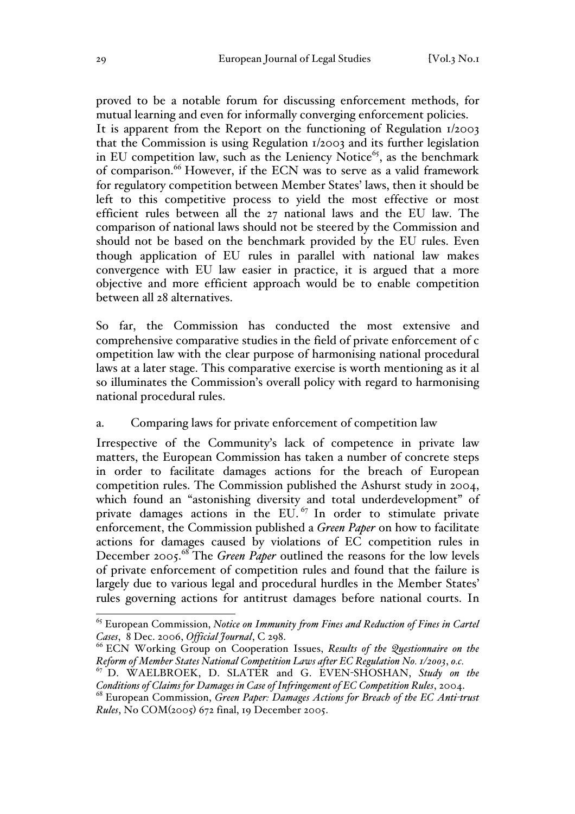proved to be a notable forum for discussing enforcement methods, for mutual learning and even for informally converging enforcement policies. It is apparent from the Report on the functioning of Regulation 1/2003 that the Commission is using Regulation 1/2003 and its further legislation in EU competition law, such as the Leniency Notice<sup>65</sup>, as the benchmark of comparison.<sup>66</sup> However, if the ECN was to serve as a valid framework for regulatory competition between Member States' laws, then it should be left to this competitive process to yield the most effective or most efficient rules between all the 27 national laws and the EU law. The comparison of national laws should not be steered by the Commission and should not be based on the benchmark provided by the EU rules. Even though application of EU rules in parallel with national law makes convergence with EU law easier in practice, it is argued that a more objective and more efficient approach would be to enable competition between all 28 alternatives.

So far, the Commission has conducted the most extensive and comprehensive comparative studies in the field of private enforcement of c ompetition law with the clear purpose of harmonising national procedural laws at a later stage. This comparative exercise is worth mentioning as it al so illuminates the Commission's overall policy with regard to harmonising national procedural rules.

## a. Comparing laws for private enforcement of competition law

Irrespective of the Community's lack of competence in private law matters, the European Commission has taken a number of concrete steps in order to facilitate damages actions for the breach of European competition rules. The Commission published the Ashurst study in 2004, which found an "astonishing diversity and total underdevelopment" of private damages actions in the EU.<sup> $67$ </sup> In order to stimulate private enforcement, the Commission published a *Green Paper* on how to facilitate actions for damages caused by violations of EC competition rules in December 2005.<sup>68</sup> The *Green Paper* outlined the reasons for the low levels of private enforcement of competition rules and found that the failure is largely due to various legal and procedural hurdles in the Member States' rules governing actions for antitrust damages before national courts. In

 <sup>65</sup> European Commission, *Notice on Immunity from Fines and Reduction of Fines in Cartel Cases*, 8 Dec. 2006, *Official Journal*, C 298.

<sup>66</sup> ECN Working Group on Cooperation Issues, *Results of the Questionnaire on the Reform of Member States National Competition Laws after EC Regulation No. 1/2003*, *o.c.*

<sup>67</sup> D. WAELBROEK, D. SLATER and G. EVEN-SHOSHAN, *Study on the Conditions of Claims for Damages in Case of Infringement of EC Competition Rules*, 2004.

<sup>68</sup> European Commission, *Green Paper: Damages Actions for Breach of the EC Anti-trust Rules*, No COM(2005) 672 final, 19 December 2005.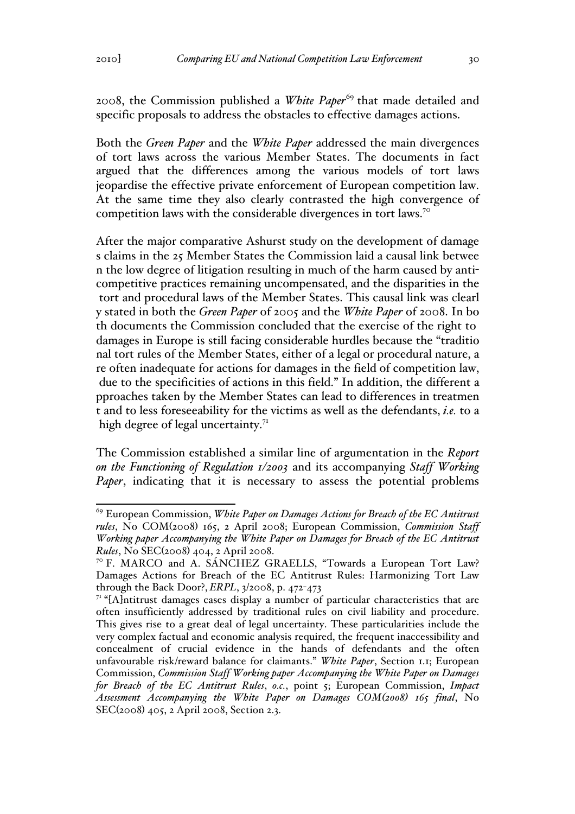2008, the Commission published a *White Paper*<sup>69</sup> that made detailed and specific proposals to address the obstacles to effective damages actions.

Both the *Green Paper* and the *White Paper* addressed the main divergences of tort laws across the various Member States. The documents in fact argued that the differences among the various models of tort laws jeopardise the effective private enforcement of European competition law. At the same time they also clearly contrasted the high convergence of competition laws with the considerable divergences in tort laws.70

After the major comparative Ashurst study on the development of damage s claims in the 25 Member States the Commission laid a causal link betwee n the low degree of litigation resulting in much of the harm caused by anticompetitive practices remaining uncompensated, and the disparities in the tort and procedural laws of the Member States. This causal link was clearl y stated in both the *Green Paper* of 2005 and the *White Paper* of 2008. In bo th documents the Commission concluded that the exercise of the right to damages in Europe is still facing considerable hurdles because the "traditio nal tort rules of the Member States, either of a legal or procedural nature, a re often inadequate for actions for damages in the field of competition law, due to the specificities of actions in this field." In addition, the different a pproaches taken by the Member States can lead to differences in treatmen t and to less foreseeability for the victims as well as the defendants, *i.e.* to a high degree of legal uncertainty. $7<sup>T</sup>$ 

The Commission established a similar line of argumentation in the *Report on the Functioning of Regulation 1/2003* and its accompanying *Staff Working Paper*, indicating that it is necessary to assess the potential problems

 <sup>69</sup> European Commission, *White Paper on Damages Actions for Breach of the EC Antitrust rules*, No COM(2008) 165, 2 April 2008; European Commission, *Commission Staff Working paper Accompanying the White Paper on Damages for Breach of the EC Antitrust Rules*, No SEC(2008) 404, 2 April 2008.

<sup>70</sup> F. MARCO and A. SÁNCHEZ GRAELLS, "Towards a European Tort Law? Damages Actions for Breach of the EC Antitrust Rules: Harmonizing Tort Law through the Back Door?, *ERPL*, 3/2008, p. 472-473

 $71$  "[A]ntitrust damages cases display a number of particular characteristics that are often insufficiently addressed by traditional rules on civil liability and procedure. This gives rise to a great deal of legal uncertainty. These particularities include the very complex factual and economic analysis required, the frequent inaccessibility and concealment of crucial evidence in the hands of defendants and the often unfavourable risk/reward balance for claimants." *White Paper*, Section 1.1; European Commission, *Commission Staff Working paper Accompanying the White Paper on Damages for Breach of the EC Antitrust Rules*, *o.c.*, point 5; European Commission, *Impact Assessment Accompanying the White Paper on Damages COM(2008) 165 final*, No SEC(2008) 405, 2 April 2008, Section 2.3.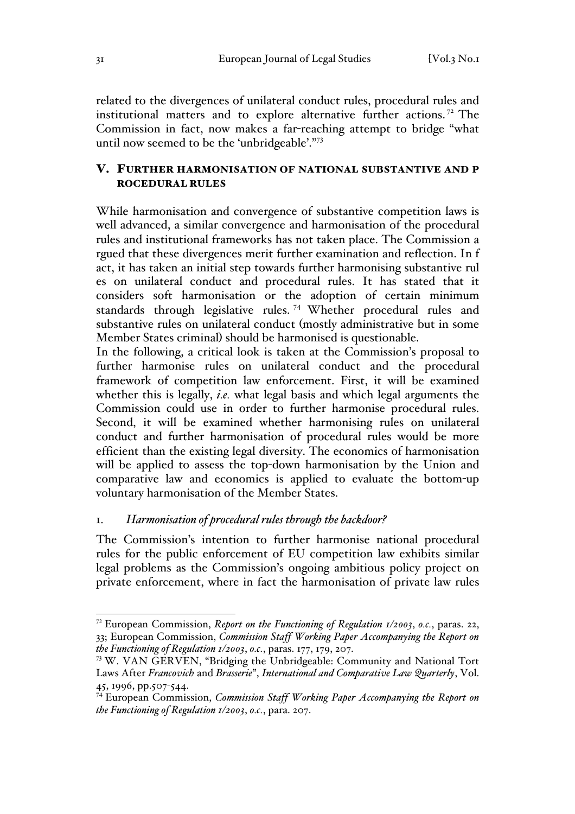related to the divergences of unilateral conduct rules, procedural rules and institutional matters and to explore alternative further actions. <sup>72</sup> The Commission in fact, now makes a far-reaching attempt to bridge "what until now seemed to be the 'unbridgeable'."<sup>73</sup>

# V. FURTHER HARMONISATION OF NATIONAL SUBSTANTIVE AND P ROCEDURAL RULES

While harmonisation and convergence of substantive competition laws is well advanced, a similar convergence and harmonisation of the procedural rules and institutional frameworks has not taken place. The Commission a rgued that these divergences merit further examination and reflection. In f act, it has taken an initial step towards further harmonising substantive rul es on unilateral conduct and procedural rules. It has stated that it considers soft harmonisation or the adoption of certain minimum standards through legislative rules. <sup>74</sup> Whether procedural rules and substantive rules on unilateral conduct (mostly administrative but in some Member States criminal) should be harmonised is questionable.

In the following, a critical look is taken at the Commission's proposal to further harmonise rules on unilateral conduct and the procedural framework of competition law enforcement. First, it will be examined whether this is legally, *i.e.* what legal basis and which legal arguments the Commission could use in order to further harmonise procedural rules. Second, it will be examined whether harmonising rules on unilateral conduct and further harmonisation of procedural rules would be more efficient than the existing legal diversity. The economics of harmonisation will be applied to assess the top-down harmonisation by the Union and comparative law and economics is applied to evaluate the bottom-up voluntary harmonisation of the Member States.

## 1. *Harmonisation of procedural rules through the backdoor?*

The Commission's intention to further harmonise national procedural rules for the public enforcement of EU competition law exhibits similar legal problems as the Commission's ongoing ambitious policy project on private enforcement, where in fact the harmonisation of private law rules

 <sup>72</sup> European Commission, *Report on the Functioning of Regulation 1/2003*, *o.c.*, paras. 22, 33; European Commission, *Commission Staff Working Paper Accompanying the Report on the Functioning of Regulation 1/2003*, *o.c.*, paras. 177, 179, 207.

<sup>73</sup> W. VAN GERVEN, "Bridging the Unbridgeable: Community and National Tort Laws After *Francovich* and *Brasserie*", *International and Comparative Law Quarterly*, Vol. 45, 1996, pp.507-544.

<sup>74</sup> European Commission, *Commission Staff Working Paper Accompanying the Report on the Functioning of Regulation 1/2003*, *o.c.*, para. 207.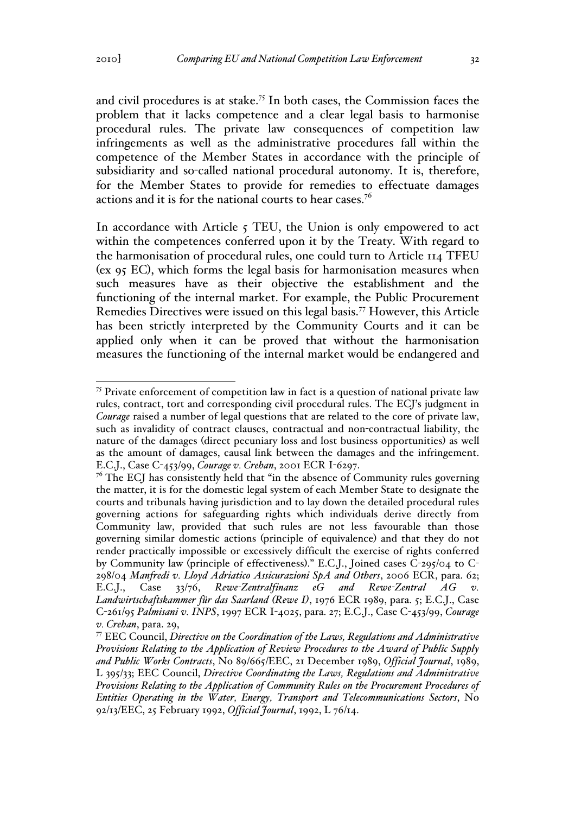and civil procedures is at stake.<sup>75</sup> In both cases, the Commission faces the problem that it lacks competence and a clear legal basis to harmonise procedural rules. The private law consequences of competition law infringements as well as the administrative procedures fall within the competence of the Member States in accordance with the principle of subsidiarity and so-called national procedural autonomy. It is, therefore, for the Member States to provide for remedies to effectuate damages actions and it is for the national courts to hear cases.<sup>76</sup>

In accordance with Article  $\zeta$  TEU, the Union is only empowered to act within the competences conferred upon it by the Treaty. With regard to the harmonisation of procedural rules, one could turn to Article 114 TFEU (ex 95 EC), which forms the legal basis for harmonisation measures when such measures have as their objective the establishment and the functioning of the internal market. For example, the Public Procurement Remedies Directives were issued on this legal basis.<sup>77</sup> However, this Article has been strictly interpreted by the Community Courts and it can be applied only when it can be proved that without the harmonisation measures the functioning of the internal market would be endangered and

<sup>&</sup>lt;sup>75</sup> Private enforcement of competition law in fact is a question of national private law rules, contract, tort and corresponding civil procedural rules. The ECJ's judgment in *Courage* raised a number of legal questions that are related to the core of private law, such as invalidity of contract clauses, contractual and non-contractual liability, the nature of the damages (direct pecuniary loss and lost business opportunities) as well as the amount of damages, causal link between the damages and the infringement. E.C.J., Case C-453/99, *Courage v. Crehan*, 2001 ECR I-6297.

 $7<sup>6</sup>$  The ECJ has consistently held that "in the absence of Community rules governing the matter, it is for the domestic legal system of each Member State to designate the courts and tribunals having jurisdiction and to lay down the detailed procedural rules governing actions for safeguarding rights which individuals derive directly from Community law, provided that such rules are not less favourable than those governing similar domestic actions (principle of equivalence) and that they do not render practically impossible or excessively difficult the exercise of rights conferred by Community law (principle of effectiveness)." E.C.J., Joined cases C-295/04 to C-298/04 *Manfredi v. Lloyd Adriatico Assicurazioni SpA and Others*, 2006 ECR, para. 62; E.C.J., Case 33/76, *Rewe-Zentralfinanz eG and Rewe-Zentral AG v. Landwirtschaftskammer für das Saarland (Rewe I)*, 1976 ECR 1989, para. 5; E.C.J., Case C-261/95 *Palmisani v. INPS*, 1997 ECR I-4025, para. 27; E.C.J., Case C-453/99, *Courage v. Crehan*, para. 29,

<sup>77</sup> EEC Council, *Directive on the Coordination of the Laws, Regulations and Administrative Provisions Relating to the Application of Review Procedures to the Award of Public Supply and Public Works Contracts*, No 89/665/EEC, 21 December 1989, *Official Journal*, 1989, L 395/33; EEC Council, *Directive Coordinating the Laws, Regulations and Administrative Provisions Relating to the Application of Community Rules on the Procurement Procedures of Entities Operating in the Water, Energy, Transport and Telecommunications Sectors*, No 92/13/EEC, 25 February 1992, *Official Journal*, 1992, L 76/14.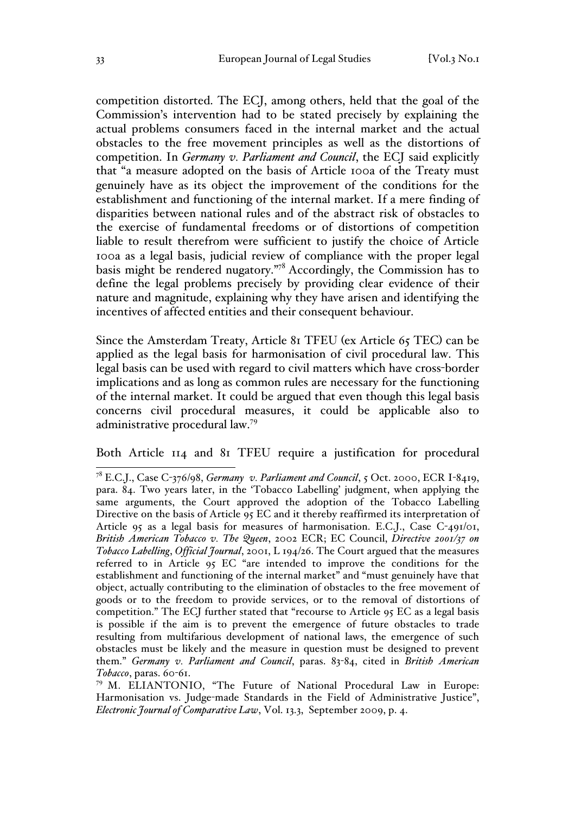competition distorted. The ECJ, among others, held that the goal of the Commission's intervention had to be stated precisely by explaining the actual problems consumers faced in the internal market and the actual obstacles to the free movement principles as well as the distortions of competition. In *Germany v. Parliament and Council*, the ECJ said explicitly that "a measure adopted on the basis of Article 100a of the Treaty must genuinely have as its object the improvement of the conditions for the establishment and functioning of the internal market. If a mere finding of disparities between national rules and of the abstract risk of obstacles to the exercise of fundamental freedoms or of distortions of competition liable to result therefrom were sufficient to justify the choice of Article 100a as a legal basis, judicial review of compliance with the proper legal basis might be rendered nugatory."78 Accordingly, the Commission has to define the legal problems precisely by providing clear evidence of their nature and magnitude, explaining why they have arisen and identifying the incentives of affected entities and their consequent behaviour.

Since the Amsterdam Treaty, Article 81 TFEU (ex Article 65 TEC) can be applied as the legal basis for harmonisation of civil procedural law. This legal basis can be used with regard to civil matters which have cross-border implications and as long as common rules are necessary for the functioning of the internal market. It could be argued that even though this legal basis concerns civil procedural measures, it could be applicable also to administrative procedural law.<sup>79</sup>

Both Article 114 and 81 TFEU require a justification for procedural

 <sup>78</sup> E.C.J., Case C-376/98, *Germany v. Parliament and Council*, 5 Oct. 2000, ECR I-8419, para. 84. Two years later, in the 'Tobacco Labelling' judgment, when applying the same arguments, the Court approved the adoption of the Tobacco Labelling Directive on the basis of Article 95 EC and it thereby reaffirmed its interpretation of Article 95 as a legal basis for measures of harmonisation. E.C.J., Case C-491/01, *British American Tobacco v. The Queen*, 2002 ECR; EC Council, *Directive 2001/37 on Tobacco Labelling*, *Official Journal*, 2001, L 194/26. The Court argued that the measures referred to in Article 95 EC "are intended to improve the conditions for the establishment and functioning of the internal market" and "must genuinely have that object, actually contributing to the elimination of obstacles to the free movement of goods or to the freedom to provide services, or to the removal of distortions of competition." The ECJ further stated that "recourse to Article 95 EC as a legal basis is possible if the aim is to prevent the emergence of future obstacles to trade resulting from multifarious development of national laws, the emergence of such obstacles must be likely and the measure in question must be designed to prevent them." *Germany v. Parliament and Council*, paras. 83-84, cited in *British American Tobacco*, paras. 60-61.

<sup>79</sup> M. ELIANTONIO, "The Future of National Procedural Law in Europe: Harmonisation vs. Judge-made Standards in the Field of Administrative Justice", *Electronic Journal of Comparative Law*, Vol. 13.3, September 2009, p. 4.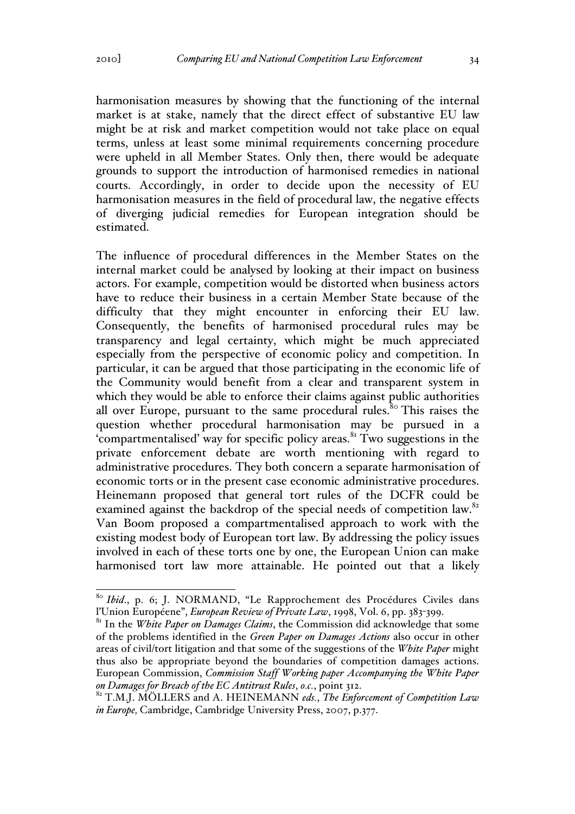harmonisation measures by showing that the functioning of the internal market is at stake, namely that the direct effect of substantive EU law might be at risk and market competition would not take place on equal terms, unless at least some minimal requirements concerning procedure were upheld in all Member States. Only then, there would be adequate grounds to support the introduction of harmonised remedies in national courts. Accordingly, in order to decide upon the necessity of EU harmonisation measures in the field of procedural law, the negative effects of diverging judicial remedies for European integration should be estimated.

The influence of procedural differences in the Member States on the internal market could be analysed by looking at their impact on business actors. For example, competition would be distorted when business actors have to reduce their business in a certain Member State because of the difficulty that they might encounter in enforcing their EU law. Consequently, the benefits of harmonised procedural rules may be transparency and legal certainty, which might be much appreciated especially from the perspective of economic policy and competition. In particular, it can be argued that those participating in the economic life of the Community would benefit from a clear and transparent system in which they would be able to enforce their claims against public authorities all over Europe, pursuant to the same procedural rules.<sup>80</sup> This raises the question whether procedural harmonisation may be pursued in a 'compartmentalised' way for specific policy areas. $81$ <sup>x</sup> Two suggestions in the private enforcement debate are worth mentioning with regard to administrative procedures. They both concern a separate harmonisation of economic torts or in the present case economic administrative procedures. Heinemann proposed that general tort rules of the DCFR could be examined against the backdrop of the special needs of competition law.<sup>82</sup> Van Boom proposed a compartmentalised approach to work with the existing modest body of European tort law. By addressing the policy issues involved in each of these torts one by one, the European Union can make harmonised tort law more attainable. He pointed out that a likely

<sup>&</sup>lt;sup>80</sup> *Ibid.*, p. 6; J. NORMAND, "Le Rapprochement des Procédures Civiles dans l'Union Européene", *European Review of Private Law*, 1998, Vol. 6, pp. 383-399.

<sup>&</sup>lt;sup>81</sup> In the *White Paper on Damages Claims*, the Commission did acknowledge that some of the problems identified in the *Green Paper on Damages Actions* also occur in other areas of civil/tort litigation and that some of the suggestions of the *White Paper* might thus also be appropriate beyond the boundaries of competition damages actions. European Commission, *Commission Staff Working paper Accompanying the White Paper* 

*on Damages for Breach of the EC Antitrust Rules*, *o.c.*, point 312. <sup>82</sup> T.M.J. MÖLLERS and A. HEINEMANN *eds.*, *The Enforcement of Competition Law in Europe,* Cambridge, Cambridge University Press, 2007, p.377.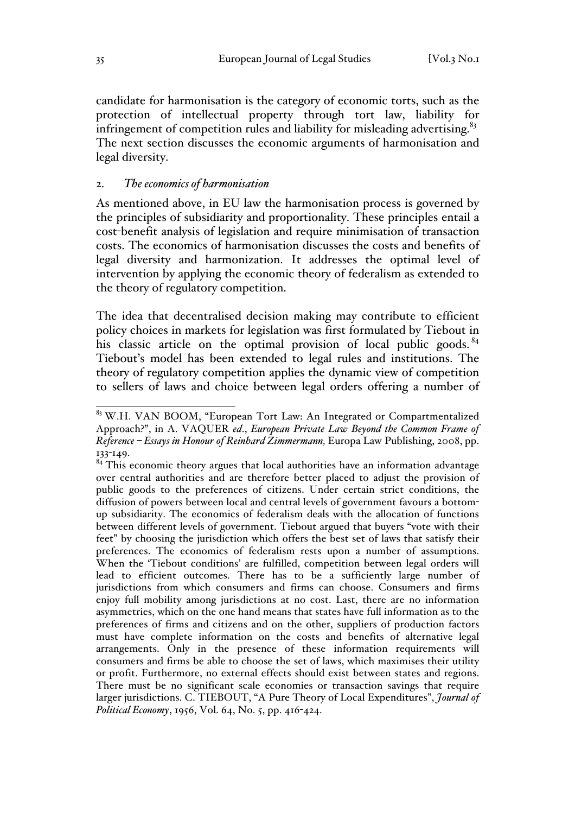candidate for harmonisation is the category of economic torts, such as the protection of intellectual property through tort law, liability for infringement of competition rules and liability for misleading advertising. $83$ The next section discusses the economic arguments of harmonisation and legal diversity.

#### 2. *The economics of harmonisation*

As mentioned above, in EU law the harmonisation process is governed by the principles of subsidiarity and proportionality. These principles entail a cost-benefit analysis of legislation and require minimisation of transaction costs. The economics of harmonisation discusses the costs and benefits of legal diversity and harmonization. It addresses the optimal level of intervention by applying the economic theory of federalism as extended to the theory of regulatory competition.

The idea that decentralised decision making may contribute to efficient policy choices in markets for legislation was first formulated by Tiebout in his classic article on the optimal provision of local public goods.  $84$ Tiebout's model has been extended to legal rules and institutions. The theory of regulatory competition applies the dynamic view of competition to sellers of laws and choice between legal orders offering a number of

<sup>&</sup>lt;sup>83</sup> W.H. VAN BOOM, "European Tort Law: An Integrated or Compartmentalized Approach?", in A. VAQUER *ed*., *European Private Law Beyond the Common Frame of Reference – Essays in Honour of Reinhard Zimmermann,* Europa Law Publishing, 2008, pp. 133-149.

 $84$  This economic theory argues that local authorities have an information advantage over central authorities and are therefore better placed to adjust the provision of public goods to the preferences of citizens. Under certain strict conditions, the diffusion of powers between local and central levels of government favours a bottomup subsidiarity. The economics of federalism deals with the allocation of functions between different levels of government. Tiebout argued that buyers "vote with their feet" by choosing the jurisdiction which offers the best set of laws that satisfy their preferences. The economics of federalism rests upon a number of assumptions. When the 'Tiebout conditions' are fulfilled, competition between legal orders will lead to efficient outcomes. There has to be a sufficiently large number of jurisdictions from which consumers and firms can choose. Consumers and firms enjoy full mobility among jurisdictions at no cost. Last, there are no information asymmetries, which on the one hand means that states have full information as to the preferences of firms and citizens and on the other, suppliers of production factors must have complete information on the costs and benefits of alternative legal arrangements. Only in the presence of these information requirements will consumers and firms be able to choose the set of laws, which maximises their utility or profit. Furthermore, no external effects should exist between states and regions. There must be no significant scale economies or transaction savings that require larger jurisdictions. C. TIEBOUT, "A Pure Theory of Local Expenditures", *Journal of Political Economy*, 1956, Vol. 64, No. 5, pp. 416-424.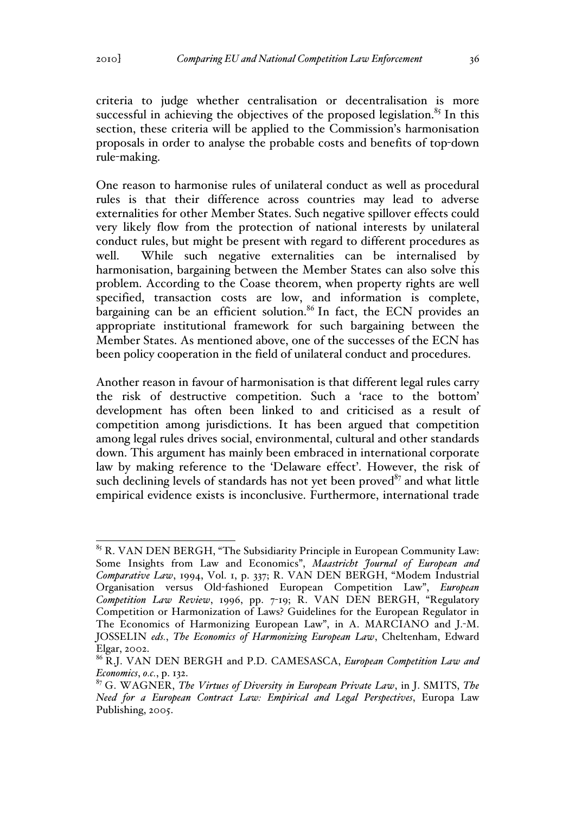criteria to judge whether centralisation or decentralisation is more successful in achieving the objectives of the proposed legislation.<sup>85</sup> In this section, these criteria will be applied to the Commission's harmonisation proposals in order to analyse the probable costs and benefits of top-down rule-making.

One reason to harmonise rules of unilateral conduct as well as procedural rules is that their difference across countries may lead to adverse externalities for other Member States. Such negative spillover effects could very likely flow from the protection of national interests by unilateral conduct rules, but might be present with regard to different procedures as well. While such negative externalities can be internalised by harmonisation, bargaining between the Member States can also solve this problem. According to the Coase theorem, when property rights are well specified, transaction costs are low, and information is complete, bargaining can be an efficient solution.<sup>86</sup> In fact, the ECN provides an appropriate institutional framework for such bargaining between the Member States. As mentioned above, one of the successes of the ECN has been policy cooperation in the field of unilateral conduct and procedures.

Another reason in favour of harmonisation is that different legal rules carry the risk of destructive competition. Such a 'race to the bottom' development has often been linked to and criticised as a result of competition among jurisdictions. It has been argued that competition among legal rules drives social, environmental, cultural and other standards down. This argument has mainly been embraced in international corporate law by making reference to the 'Delaware effect'. However, the risk of such declining levels of standards has not yet been proved $87$  and what little empirical evidence exists is inconclusive. Furthermore, international trade

<sup>&</sup>lt;sup>85</sup> R. VAN DEN BERGH, "The Subsidiarity Principle in European Community Law: Some Insights from Law and Economics", *Maastricht Journal of European and Comparative Law*, 1994, Vol. 1, p. 337; R. VAN DEN BERGH, "Modem Industrial Organisation versus Old-fashioned European Competition Law", *European Competition Law Review*, 1996, pp. 7-19; R. VAN DEN BERGH, "Regulatory Competition or Harmonization of Laws? Guidelines for the European Regulator in The Economics of Harmonizing European Law", in A. MARCIANO and J.-M. JOSSELIN *eds.*, *The Economics of Harmonizing European Law*, Cheltenham, Edward Elgar, 2002.

<sup>86</sup> R.J. VAN DEN BERGH and P.D. CAMESASCA, *European Competition Law and Economics*, *o.c.*, p. 132.

<sup>87</sup> G. WAGNER, *The Virtues of Diversity in European Private Law*, in J. SMITS, *The Need for a European Contract Law: Empirical and Legal Perspectives*, Europa Law Publishing, 2005.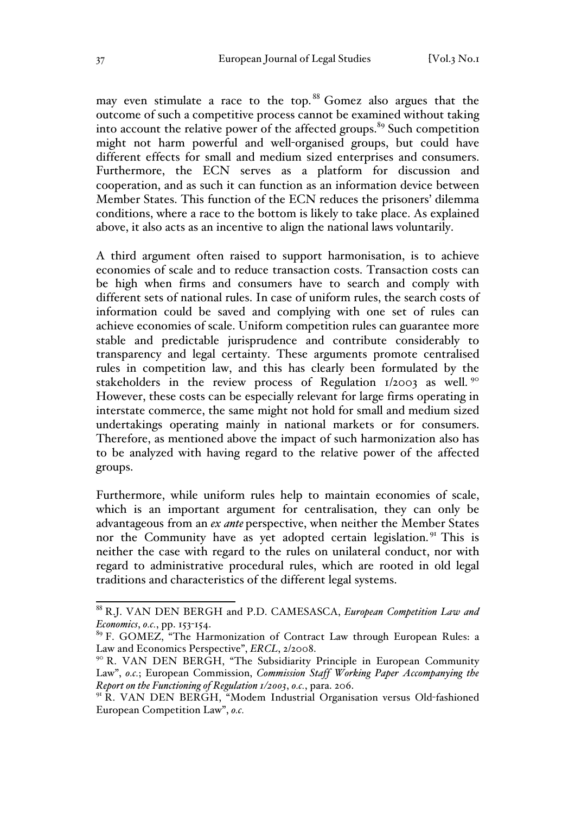may even stimulate a race to the top.<sup>88</sup> Gomez also argues that the outcome of such a competitive process cannot be examined without taking into account the relative power of the affected groups. $89$  Such competition might not harm powerful and well-organised groups, but could have different effects for small and medium sized enterprises and consumers. Furthermore, the ECN serves as a platform for discussion and cooperation, and as such it can function as an information device between Member States. This function of the ECN reduces the prisoners' dilemma conditions, where a race to the bottom is likely to take place. As explained above, it also acts as an incentive to align the national laws voluntarily.

A third argument often raised to support harmonisation, is to achieve economies of scale and to reduce transaction costs. Transaction costs can be high when firms and consumers have to search and comply with different sets of national rules. In case of uniform rules, the search costs of information could be saved and complying with one set of rules can achieve economies of scale. Uniform competition rules can guarantee more stable and predictable jurisprudence and contribute considerably to transparency and legal certainty. These arguments promote centralised rules in competition law, and this has clearly been formulated by the stakeholders in the review process of Regulation  $1/2003$  as well. <sup>90</sup> However, these costs can be especially relevant for large firms operating in interstate commerce, the same might not hold for small and medium sized undertakings operating mainly in national markets or for consumers. Therefore, as mentioned above the impact of such harmonization also has to be analyzed with having regard to the relative power of the affected groups.

Furthermore, while uniform rules help to maintain economies of scale, which is an important argument for centralisation, they can only be advantageous from an *ex ante* perspective, when neither the Member States nor the Community have as yet adopted certain legislation.<sup>91</sup> This is neither the case with regard to the rules on unilateral conduct, nor with regard to administrative procedural rules, which are rooted in old legal traditions and characteristics of the different legal systems.

 <sup>88</sup> R.J. VAN DEN BERGH and P.D. CAMESASCA, *European Competition Law and Economics*, *o.c.*, pp. 153-154.

<sup>&</sup>lt;sup>89</sup> F. GOMEZ, "The Harmonization of Contract Law through European Rules: a Law and Economics Perspective", *ERCL*, 2/2008.

<sup>&</sup>lt;sup>90</sup> R. VAN DEN BERGH, "The Subsidiarity Principle in European Community Law", *o.c.*; European Commission, *Commission Staff Working Paper Accompanying the Report on the Functioning of Regulation 1/2003*, *o.c.*, para. 206.

<sup>&</sup>lt;sup>91</sup> R. VAN DEN BERGH, "Modem Industrial Organisation versus Old-fashioned European Competition Law", *o.c.*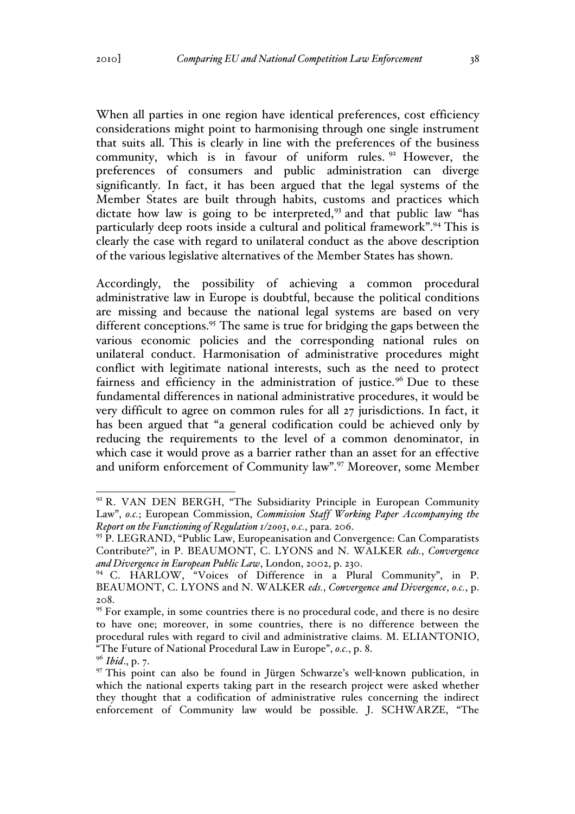When all parties in one region have identical preferences, cost efficiency considerations might point to harmonising through one single instrument that suits all. This is clearly in line with the preferences of the business community, which is in favour of uniform rules.  $92$  However, the preferences of consumers and public administration can diverge significantly. In fact, it has been argued that the legal systems of the Member States are built through habits, customs and practices which dictate how law is going to be interpreted,<sup>93</sup> and that public law "has particularly deep roots inside a cultural and political framework".94 This is clearly the case with regard to unilateral conduct as the above description of the various legislative alternatives of the Member States has shown.

Accordingly, the possibility of achieving a common procedural administrative law in Europe is doubtful, because the political conditions are missing and because the national legal systems are based on very different conceptions.<sup>95</sup> The same is true for bridging the gaps between the various economic policies and the corresponding national rules on unilateral conduct. Harmonisation of administrative procedures might conflict with legitimate national interests, such as the need to protect fairness and efficiency in the administration of justice.<sup>96</sup> Due to these fundamental differences in national administrative procedures, it would be very difficult to agree on common rules for all 27 jurisdictions. In fact, it has been argued that "a general codification could be achieved only by reducing the requirements to the level of a common denominator, in which case it would prove as a barrier rather than an asset for an effective and uniform enforcement of Community law".97 Moreover, some Member

<sup>&</sup>lt;sup>92</sup> R. VAN DEN BERGH, "The Subsidiarity Principle in European Community Law", *o.c.*; European Commission, *Commission Staff Working Paper Accompanying the Report on the Functioning of Regulation 1/2003*, *o.c.*, para. 206.

<sup>&</sup>lt;sup>93</sup> P. LEGRAND, "Public Law, Europeanisation and Convergence: Can Comparatists Contribute?", in P. BEAUMONT, C. LYONS and N. WALKER *eds.*, *Convergence and Divergence in European Public Law*, London, 2002, p. 230.

<sup>94</sup> C. HARLOW, "Voices of Difference in a Plural Community", in P. BEAUMONT, C. LYONS and N. WALKER *eds.*, *Convergence and Divergence*, *o.c.*, p. 208.

<sup>&</sup>lt;sup>95</sup> For example, in some countries there is no procedural code, and there is no desire to have one; moreover, in some countries, there is no difference between the procedural rules with regard to civil and administrative claims. M. ELIANTONIO, "The Future of National Procedural Law in Europe", *o.c.*, p. 8. <sup>96</sup> *Ibid*., p. 7.

 $97$  This point can also be found in Jürgen Schwarze's well-known publication, in which the national experts taking part in the research project were asked whether they thought that a codification of administrative rules concerning the indirect enforcement of Community law would be possible. J. SCHWARZE, "The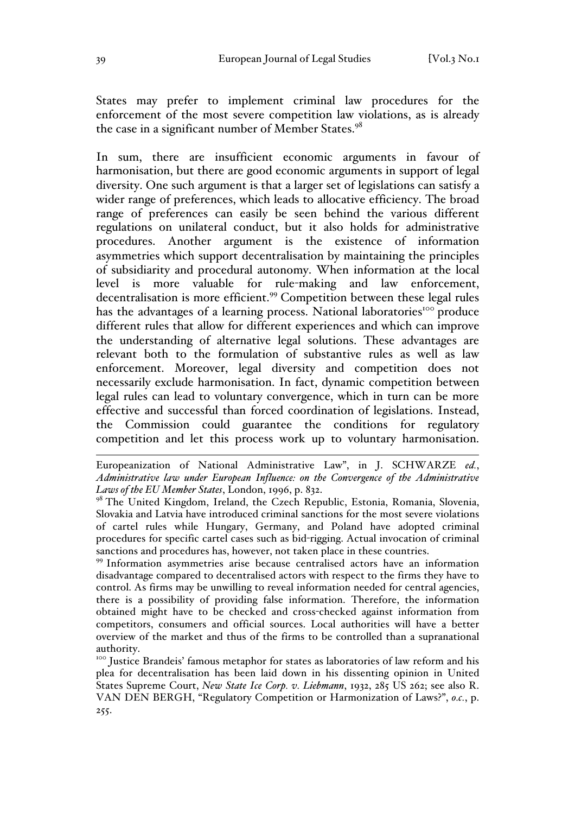States may prefer to implement criminal law procedures for the enforcement of the most severe competition law violations, as is already the case in a significant number of Member States.<sup>98</sup>

In sum, there are insufficient economic arguments in favour of harmonisation, but there are good economic arguments in support of legal diversity. One such argument is that a larger set of legislations can satisfy a wider range of preferences, which leads to allocative efficiency. The broad range of preferences can easily be seen behind the various different regulations on unilateral conduct, but it also holds for administrative procedures. Another argument is the existence of information asymmetries which support decentralisation by maintaining the principles of subsidiarity and procedural autonomy. When information at the local level is more valuable for rule-making and law enforcement, decentralisation is more efficient.<sup>99</sup> Competition between these legal rules has the advantages of a learning process. National laboratories<sup>100</sup> produce different rules that allow for different experiences and which can improve the understanding of alternative legal solutions. These advantages are relevant both to the formulation of substantive rules as well as law enforcement. Moreover, legal diversity and competition does not necessarily exclude harmonisation. In fact, dynamic competition between legal rules can lead to voluntary convergence, which in turn can be more effective and successful than forced coordination of legislations. Instead, the Commission could guarantee the conditions for regulatory competition and let this process work up to voluntary harmonisation.

 Europeanization of National Administrative Law", in J. SCHWARZE *ed.*, *Administrative law under European Influence: on the Convergence of the Administrative Laws of the EU Member States*, London, 1996, p. 832.

<sup>98</sup> The United Kingdom, Ireland, the Czech Republic, Estonia, Romania, Slovenia, Slovakia and Latvia have introduced criminal sanctions for the most severe violations of cartel rules while Hungary, Germany, and Poland have adopted criminal procedures for specific cartel cases such as bid-rigging. Actual invocation of criminal sanctions and procedures has, however, not taken place in these countries.

<sup>99</sup> Information asymmetries arise because centralised actors have an information disadvantage compared to decentralised actors with respect to the firms they have to control. As firms may be unwilling to reveal information needed for central agencies, there is a possibility of providing false information. Therefore, the information obtained might have to be checked and cross-checked against information from competitors, consumers and official sources. Local authorities will have a better overview of the market and thus of the firms to be controlled than a supranational authority.

<sup>100</sup> Justice Brandeis' famous metaphor for states as laboratories of law reform and his plea for decentralisation has been laid down in his dissenting opinion in United States Supreme Court, *New State Ice Corp. v. Liebmann*, 1932, 285 US 262; see also R. VAN DEN BERGH, "Regulatory Competition or Harmonization of Laws?", *o.c.*, p. 255.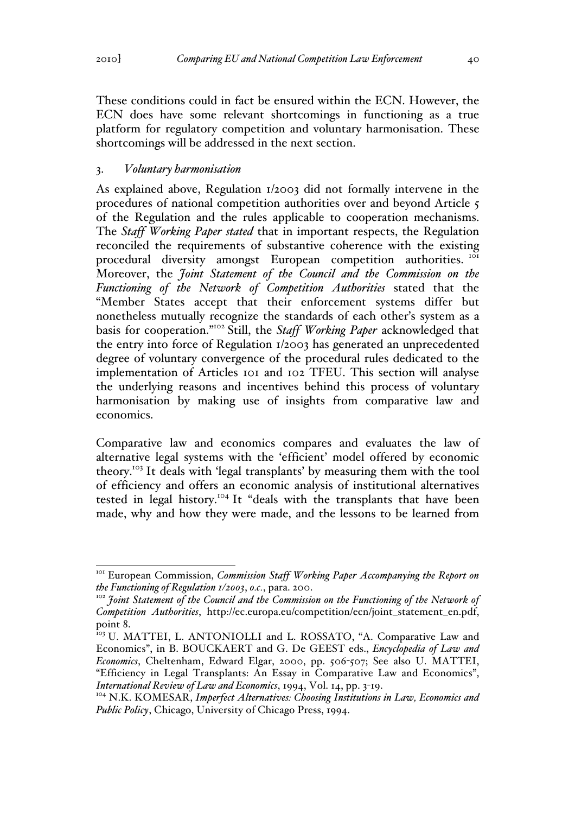These conditions could in fact be ensured within the ECN. However, the ECN does have some relevant shortcomings in functioning as a true platform for regulatory competition and voluntary harmonisation. These shortcomings will be addressed in the next section.

### 3. *Voluntary harmonisation*

As explained above, Regulation 1/2003 did not formally intervene in the procedures of national competition authorities over and beyond Article 5 of the Regulation and the rules applicable to cooperation mechanisms. The *Staff Working Paper stated* that in important respects, the Regulation reconciled the requirements of substantive coherence with the existing procedural diversity amongst European competition authorities.<sup>101</sup> Moreover, the *Joint Statement of the Council and the Commission on the Functioning of the Network of Competition Authorities* stated that the "Member States accept that their enforcement systems differ but nonetheless mutually recognize the standards of each other's system as a basis for cooperation."102 Still, the *Staff Working Paper* acknowledged that the entry into force of Regulation 1/2003 has generated an unprecedented degree of voluntary convergence of the procedural rules dedicated to the implementation of Articles 101 and 102 TFEU. This section will analyse the underlying reasons and incentives behind this process of voluntary harmonisation by making use of insights from comparative law and economics.

Comparative law and economics compares and evaluates the law of alternative legal systems with the 'efficient' model offered by economic theory.103 It deals with 'legal transplants' by measuring them with the tool of efficiency and offers an economic analysis of institutional alternatives tested in legal history.<sup>104</sup> It "deals with the transplants that have been made, why and how they were made, and the lessons to be learned from

<sup>&</sup>lt;sup>101</sup> European Commission, *Commission Staff Working Paper Accompanying the Report on the Functioning of Regulation 1/2003*, *o.c.*, para. 200.<br><sup>102</sup> *Joint Statement of the Council and the Commission on the Functioning of the Network of* 

*Competition Authorities*, http://ec.europa.eu/competition/ecn/joint\_statement\_en.pdf, point 8.

<sup>&</sup>lt;sup>103</sup> U. MATTEI, L. ANTONIOLLI and L. ROSSATO, "A. Comparative Law and Economics", in B. BOUCKAERT and G. De GEEST eds., *Encyclopedia of Law and Economics*, Cheltenham, Edward Elgar, 2000, pp. 506-507; See also U. MATTEI, "Efficiency in Legal Transplants: An Essay in Comparative Law and Economics", *International Review of Law and Economics*, 1994, Vol. 14, pp. 3-19.

<sup>104</sup> N.K. KOMESAR, *Imperfect Alternatives: Choosing Institutions in Law, Economics and Public Policy*, Chicago, University of Chicago Press, 1994.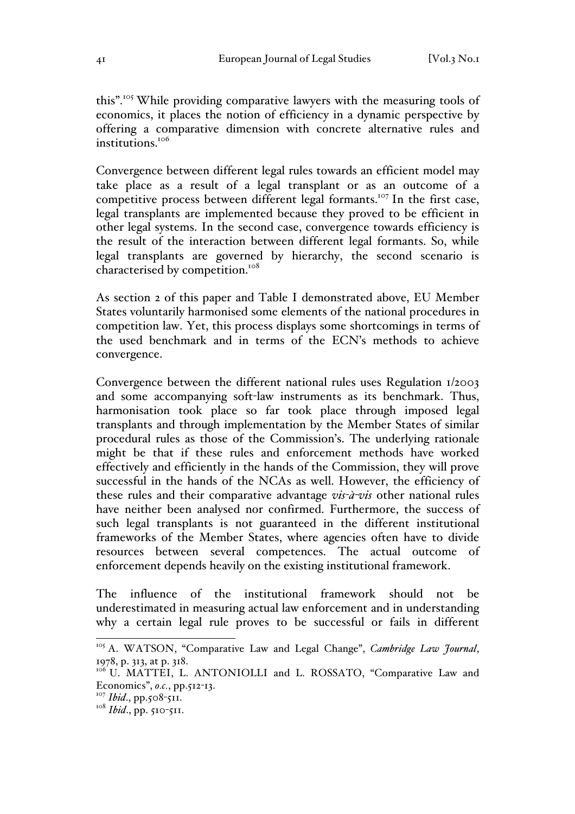this".<sup>105</sup> While providing comparative lawyers with the measuring tools of economics, it places the notion of efficiency in a dynamic perspective by offering a comparative dimension with concrete alternative rules and institutions.<sup>106</sup>

Convergence between different legal rules towards an efficient model may take place as a result of a legal transplant or as an outcome of a competitive process between different legal formants.<sup>107</sup> In the first case, legal transplants are implemented because they proved to be efficient in other legal systems. In the second case, convergence towards efficiency is the result of the interaction between different legal formants. So, while legal transplants are governed by hierarchy, the second scenario is characterised by competition.<sup>108</sup>

As section 2 of this paper and Table I demonstrated above, EU Member States voluntarily harmonised some elements of the national procedures in competition law. Yet, this process displays some shortcomings in terms of the used benchmark and in terms of the ECN's methods to achieve convergence.

Convergence between the different national rules uses Regulation 1/2003 and some accompanying soft-law instruments as its benchmark. Thus, harmonisation took place so far took place through imposed legal transplants and through implementation by the Member States of similar procedural rules as those of the Commission's. The underlying rationale might be that if these rules and enforcement methods have worked effectively and efficiently in the hands of the Commission, they will prove successful in the hands of the NCAs as well. However, the efficiency of these rules and their comparative advantage *vis-à-vis* other national rules have neither been analysed nor confirmed. Furthermore, the success of such legal transplants is not guaranteed in the different institutional frameworks of the Member States, where agencies often have to divide resources between several competences. The actual outcome of enforcement depends heavily on the existing institutional framework.

The influence of the institutional framework should not be underestimated in measuring actual law enforcement and in understanding why a certain legal rule proves to be successful or fails in different

<sup>&</sup>lt;sup>105</sup> A. WATSON, "Comparative Law and Legal Change", *Cambridge Law Journal*, 1978, p. 313, at p. 318.

<sup>&</sup>lt;sup>106</sup> U. MATTEI, L. ANTONIOLLI and L. ROSSATO, "Comparative Law and Economics", *o.c.*, pp.512-13.

<sup>&</sup>lt;sup>107</sup> *Ibid.*, pp.508-511.

<sup>&</sup>lt;sup>108</sup> *Ibid.*, pp. 510-511.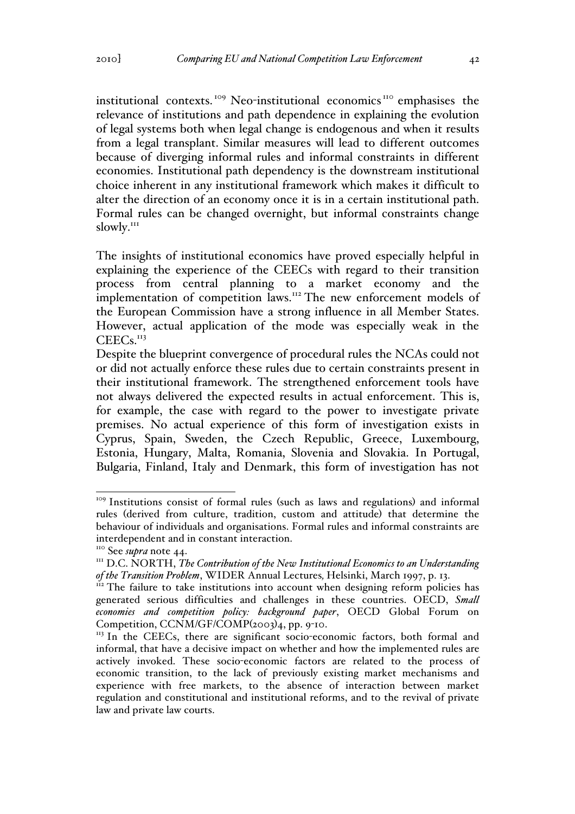institutional contexts.<sup>109</sup> Neo-institutional economics<sup>110</sup> emphasises the relevance of institutions and path dependence in explaining the evolution of legal systems both when legal change is endogenous and when it results from a legal transplant. Similar measures will lead to different outcomes because of diverging informal rules and informal constraints in different economies. Institutional path dependency is the downstream institutional choice inherent in any institutional framework which makes it difficult to alter the direction of an economy once it is in a certain institutional path. Formal rules can be changed overnight, but informal constraints change slowly.<sup>111</sup>

The insights of institutional economics have proved especially helpful in explaining the experience of the CEECs with regard to their transition process from central planning to a market economy and the implementation of competition laws.<sup>112</sup> The new enforcement models of the European Commission have a strong influence in all Member States. However, actual application of the mode was especially weak in the  $CEECs.<sup>113</sup>$ 

Despite the blueprint convergence of procedural rules the NCAs could not or did not actually enforce these rules due to certain constraints present in their institutional framework. The strengthened enforcement tools have not always delivered the expected results in actual enforcement. This is, for example, the case with regard to the power to investigate private premises. No actual experience of this form of investigation exists in Cyprus, Spain, Sweden, the Czech Republic, Greece, Luxembourg, Estonia, Hungary, Malta, Romania, Slovenia and Slovakia. In Portugal, Bulgaria, Finland, Italy and Denmark, this form of investigation has not

<sup>&</sup>lt;sup>109</sup> Institutions consist of formal rules (such as laws and regulations) and informal rules (derived from culture, tradition, custom and attitude) that determine the behaviour of individuals and organisations. Formal rules and informal constraints are interdependent and in constant interaction.<br><sup>110</sup> See *supra* note 44.<br><sup>111</sup> D.C. NORTH, *The Contribution of the New Institutional Economics to an Understanding* 

*of the Transition Problem*, WIDER Annual Lectures, Helsinki, March 1997, p. 13.<br><sup>112</sup> The failure to take institutions into account when designing reform policies has

generated serious difficulties and challenges in these countries. OECD, *Small economies and competition policy: background paper*, OECD Global Forum on Competition, CCNM/GF/COMP(2003)4, pp. 9-10.

 $113$  In the CEECs, there are significant socio-economic factors, both formal and informal, that have a decisive impact on whether and how the implemented rules are actively invoked. These socio-economic factors are related to the process of economic transition, to the lack of previously existing market mechanisms and experience with free markets, to the absence of interaction between market regulation and constitutional and institutional reforms, and to the revival of private law and private law courts.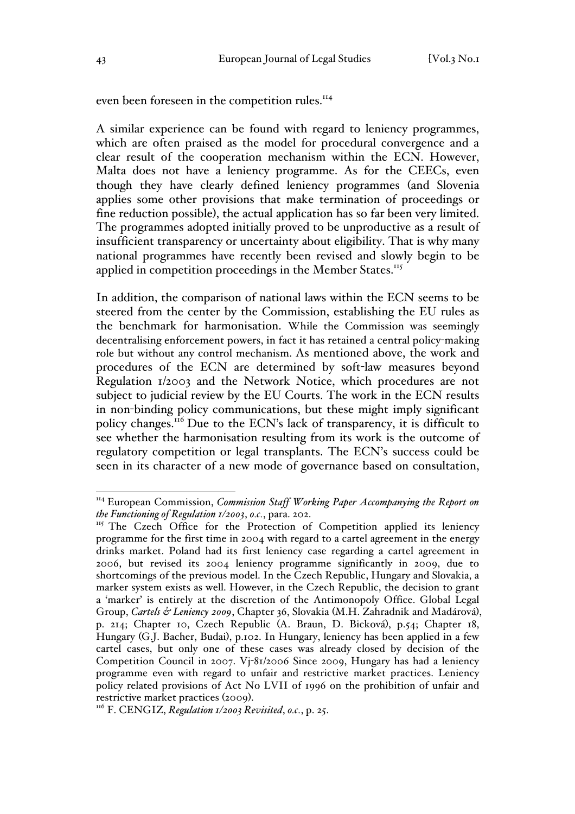even been foreseen in the competition rules.<sup>114</sup>

A similar experience can be found with regard to leniency programmes, which are often praised as the model for procedural convergence and a clear result of the cooperation mechanism within the ECN. However, Malta does not have a leniency programme. As for the CEECs, even though they have clearly defined leniency programmes (and Slovenia applies some other provisions that make termination of proceedings or fine reduction possible), the actual application has so far been very limited. The programmes adopted initially proved to be unproductive as a result of insufficient transparency or uncertainty about eligibility. That is why many national programmes have recently been revised and slowly begin to be applied in competition proceedings in the Member States.<sup>115</sup>

In addition, the comparison of national laws within the ECN seems to be steered from the center by the Commission, establishing the EU rules as the benchmark for harmonisation. While the Commission was seemingly decentralising enforcement powers, in fact it has retained a central policy-making role but without any control mechanism. As mentioned above, the work and procedures of the ECN are determined by soft-law measures beyond Regulation 1/2003 and the Network Notice, which procedures are not subject to judicial review by the EU Courts. The work in the ECN results in non-binding policy communications, but these might imply significant policy changes.<sup>116</sup> Due to the ECN's lack of transparency, it is difficult to see whether the harmonisation resulting from its work is the outcome of regulatory competition or legal transplants. The ECN's success could be seen in its character of a new mode of governance based on consultation,

<sup>&</sup>lt;sup>114</sup> European Commission, *Commission Staff Working Paper Accompanying the Report on the Functioning of Regulation 1/2003*, *o.c.*, para. 202.

<sup>&</sup>lt;sup>115</sup> The Czech Office for the Protection of Competition applied its leniency programme for the first time in 2004 with regard to a cartel agreement in the energy drinks market. Poland had its first leniency case regarding a cartel agreement in 2006, but revised its 2004 leniency programme significantly in 2009, due to shortcomings of the previous model. In the Czech Republic, Hungary and Slovakia, a marker system exists as well. However, in the Czech Republic, the decision to grant a 'marker' is entirely at the discretion of the Antimonopoly Office. Global Legal Group, *Cartels & Leniency 2009*, Chapter 36, Slovakia (M.H. Zahradnik and Madárová), p. 214; Chapter 10, Czech Republic (A. Braun, D. Bicková), p.54; Chapter 18, Hungary (G.J. Bacher, Budai), p.102. In Hungary, leniency has been applied in a few cartel cases, but only one of these cases was already closed by decision of the Competition Council in 2007. Vj-81/2006 Since 2009, Hungary has had a leniency programme even with regard to unfair and restrictive market practices. Leniency policy related provisions of Act No LVII of 1996 on the prohibition of unfair and restrictive market practices (2009). <sup>116</sup> F. CENGIZ, *Regulation 1/2003 Revisited*, *o.c.*, p. 25.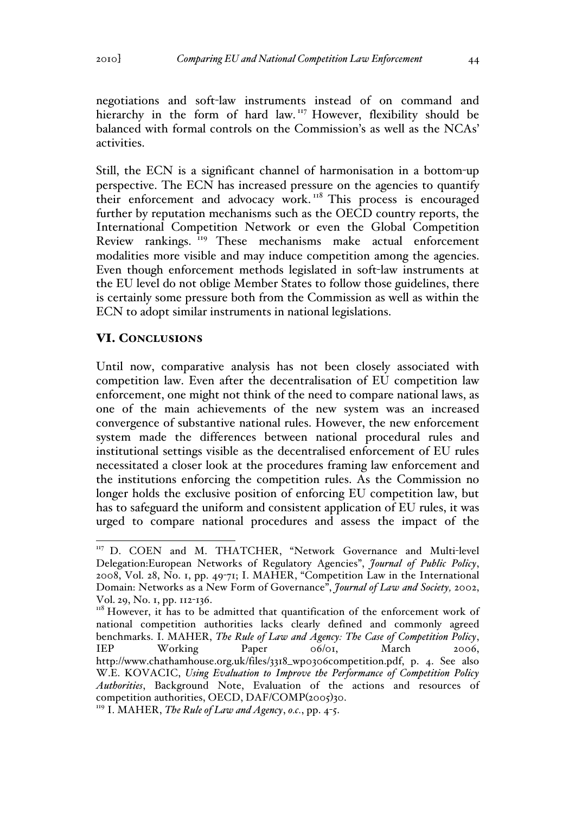negotiations and soft-law instruments instead of on command and hierarchy in the form of hard law.<sup>117</sup> However, flexibility should be balanced with formal controls on the Commission's as well as the NCAs' activities.

Still, the ECN is a significant channel of harmonisation in a bottom-up perspective. The ECN has increased pressure on the agencies to quantify their enforcement and advocacy work.<sup>118</sup> This process is encouraged further by reputation mechanisms such as the OECD country reports, the International Competition Network or even the Global Competition Review rankings. <sup>119</sup> These mechanisms make actual enforcement modalities more visible and may induce competition among the agencies. Even though enforcement methods legislated in soft-law instruments at the EU level do not oblige Member States to follow those guidelines, there is certainly some pressure both from the Commission as well as within the ECN to adopt similar instruments in national legislations.

## VI. CONCLUSIONS

Until now, comparative analysis has not been closely associated with competition law. Even after the decentralisation of EU competition law enforcement, one might not think of the need to compare national laws, as one of the main achievements of the new system was an increased convergence of substantive national rules. However, the new enforcement system made the differences between national procedural rules and institutional settings visible as the decentralised enforcement of EU rules necessitated a closer look at the procedures framing law enforcement and the institutions enforcing the competition rules. As the Commission no longer holds the exclusive position of enforcing EU competition law, but has to safeguard the uniform and consistent application of EU rules, it was urged to compare national procedures and assess the impact of the

<sup>&</sup>lt;sup>117</sup> D. COEN and M. THATCHER, "Network Governance and Multi-level Delegation:European Networks of Regulatory Agencies", *Journal of Public Policy*, 2008, Vol. 28, No. 1, pp. 49-71; I. MAHER, "Competition Law in the International Domain: Networks as a New Form of Governance", *Journal of Law and Society,* 2002, Vol. 29, No. 1, pp. 112-136.

<sup>&</sup>lt;sup>118</sup> However, it has to be admitted that quantification of the enforcement work of national competition authorities lacks clearly defined and commonly agreed benchmarks. I. MAHER, *The Rule of Law and Agency: The Case of Competition Policy*, IEP Working Paper 06/01, March 2006, http://www.chathamhouse.org.uk/files/3318\_wp0306competition.pdf, p. 4. See also W.E. KOVACIC, *Using Evaluation to Improve the Performance of Competition Policy Authorities*, Background Note, Evaluation of the actions and resources of competition authorities, OECD, DAF/COMP(2005)30.

<sup>119</sup> I. MAHER, *The Rule of Law and Agency*, *o.c.*, pp. 4-5.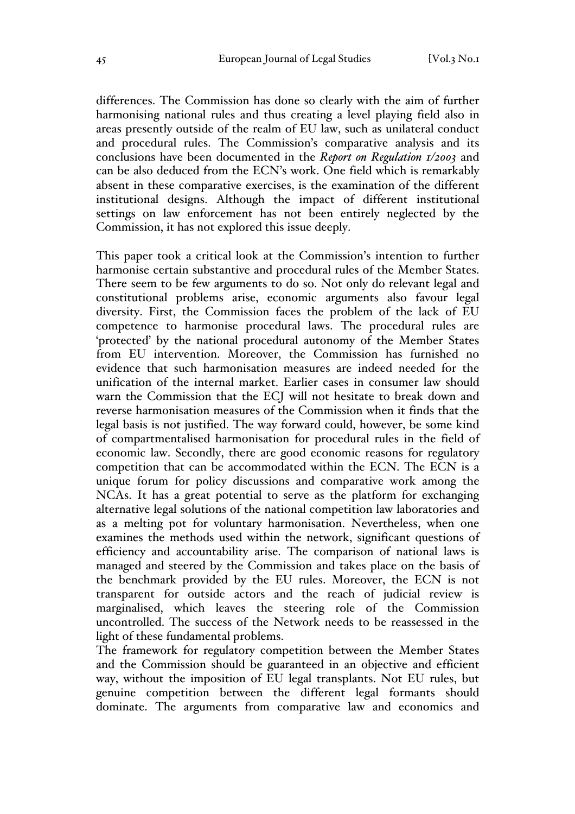differences. The Commission has done so clearly with the aim of further harmonising national rules and thus creating a level playing field also in areas presently outside of the realm of EU law, such as unilateral conduct and procedural rules. The Commission's comparative analysis and its conclusions have been documented in the *Report on Regulation 1/2003* and can be also deduced from the ECN's work. One field which is remarkably absent in these comparative exercises, is the examination of the different institutional designs. Although the impact of different institutional settings on law enforcement has not been entirely neglected by the Commission, it has not explored this issue deeply.

This paper took a critical look at the Commission's intention to further harmonise certain substantive and procedural rules of the Member States. There seem to be few arguments to do so. Not only do relevant legal and constitutional problems arise, economic arguments also favour legal diversity. First, the Commission faces the problem of the lack of EU competence to harmonise procedural laws. The procedural rules are 'protected' by the national procedural autonomy of the Member States from EU intervention. Moreover, the Commission has furnished no evidence that such harmonisation measures are indeed needed for the unification of the internal market. Earlier cases in consumer law should warn the Commission that the ECJ will not hesitate to break down and reverse harmonisation measures of the Commission when it finds that the legal basis is not justified. The way forward could, however, be some kind of compartmentalised harmonisation for procedural rules in the field of economic law. Secondly, there are good economic reasons for regulatory competition that can be accommodated within the ECN. The ECN is a unique forum for policy discussions and comparative work among the NCAs. It has a great potential to serve as the platform for exchanging alternative legal solutions of the national competition law laboratories and as a melting pot for voluntary harmonisation. Nevertheless, when one examines the methods used within the network, significant questions of efficiency and accountability arise. The comparison of national laws is managed and steered by the Commission and takes place on the basis of the benchmark provided by the EU rules. Moreover, the ECN is not transparent for outside actors and the reach of judicial review is marginalised, which leaves the steering role of the Commission uncontrolled. The success of the Network needs to be reassessed in the light of these fundamental problems.

The framework for regulatory competition between the Member States and the Commission should be guaranteed in an objective and efficient way, without the imposition of EU legal transplants. Not EU rules, but genuine competition between the different legal formants should dominate. The arguments from comparative law and economics and